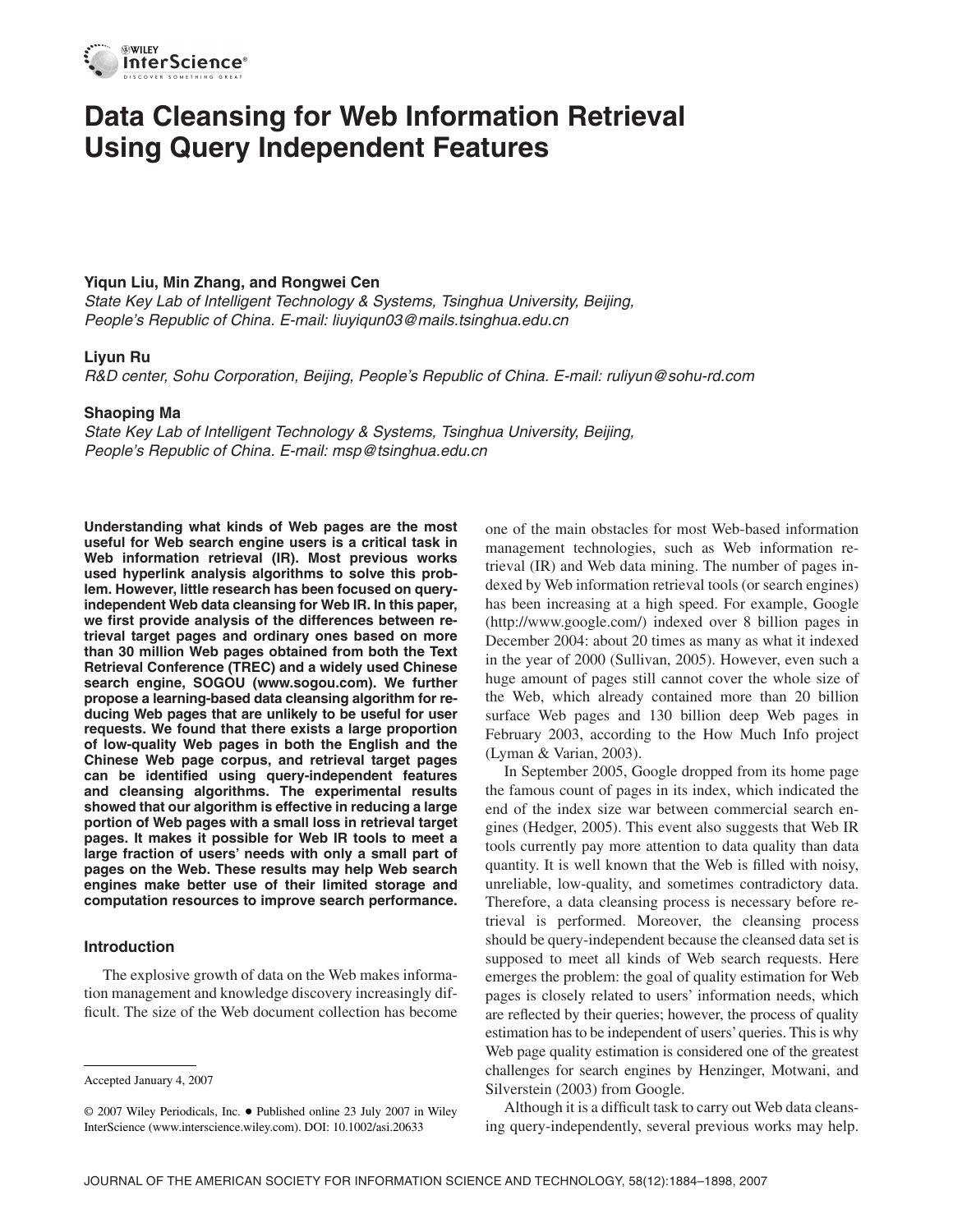

# **Data Cleansing for Web Information Retrieval Using Query Independent Features**

# **Yiqun Liu, Min Zhang, and Rongwei Cen**

*State Key Lab of Intelligent Technology & Systems, Tsinghua University, Beijing, People's Republic of China. E-mail: liuyiqun03@mails.tsinghua.edu.cn*

# **Liyun Ru**

*R&D center, Sohu Corporation, Beijing, People's Republic of China. E-mail: ruliyun@sohu-rd.com*

### **Shaoping Ma**

*State Key Lab of Intelligent Technology & Systems, Tsinghua University, Beijing, People's Republic of China. E-mail: msp@tsinghua.edu.cn*

**Understanding what kinds of Web pages are the most useful for Web search engine users is a critical task in Web information retrieval (IR). Most previous works used hyperlink analysis algorithms to solve this problem. However, little research has been focused on queryindependent Web data cleansing for Web IR. In this paper, we first provide analysis of the differences between retrieval target pages and ordinary ones based on more than 30 million Web pages obtained from both the Text Retrieval Conference (TREC) and a widely used Chinese search engine, SOGOU (www.sogou.com). We further propose a learning-based data cleansing algorithm for reducing Web pages that are unlikely to be useful for user requests. We found that there exists a large proportion of low-quality Web pages in both the English and the Chinese Web page corpus, and retrieval target pages can be identified using query-independent features and cleansing algorithms. The experimental results showed that our algorithm is effective in reducing a large portion of Web pages with a small loss in retrieval target pages. It makes it possible for Web IR tools to meet a large fraction of users' needs with only a small part of pages on the Web. These results may help Web search engines make better use of their limited storage and computation resources to improve search performance.**

# **Introduction**

The explosive growth of data on the Web makes information management and knowledge discovery increasingly difficult. The size of the Web document collection has become one of the main obstacles for most Web-based information management technologies, such as Web information retrieval (IR) and Web data mining. The number of pages indexed by Web information retrieval tools (or search engines) has been increasing at a high speed. For example, Google (http://www.google.com/) indexed over 8 billion pages in December 2004: about 20 times as many as what it indexed in the year of 2000 (Sullivan, 2005). However, even such a huge amount of pages still cannot cover the whole size of the Web, which already contained more than 20 billion surface Web pages and 130 billion deep Web pages in February 2003, according to the How Much Info project (Lyman & Varian, 2003).

In September 2005, Google dropped from its home page the famous count of pages in its index, which indicated the end of the index size war between commercial search engines (Hedger, 2005). This event also suggests that Web IR tools currently pay more attention to data quality than data quantity. It is well known that the Web is filled with noisy, unreliable, low-quality, and sometimes contradictory data. Therefore, a data cleansing process is necessary before retrieval is performed. Moreover, the cleansing process should be query-independent because the cleansed data set is supposed to meet all kinds of Web search requests. Here emerges the problem: the goal of quality estimation for Web pages is closely related to users' information needs, which are reflected by their queries; however, the process of quality estimation has to be independent of users'queries. This is why Web page quality estimation is considered one of the greatest challenges for search engines by Henzinger, Motwani, and Silverstein (2003) from Google.

Although it is a difficult task to carry out Web data cleansing query-independently, several previous works may help.

Accepted January 4, 2007

<sup>© 2007</sup> Wiley Periodicals, Inc. • Published online 23 July 2007 in Wiley InterScience (www.interscience.wiley.com). DOI: 10.1002/asi.20633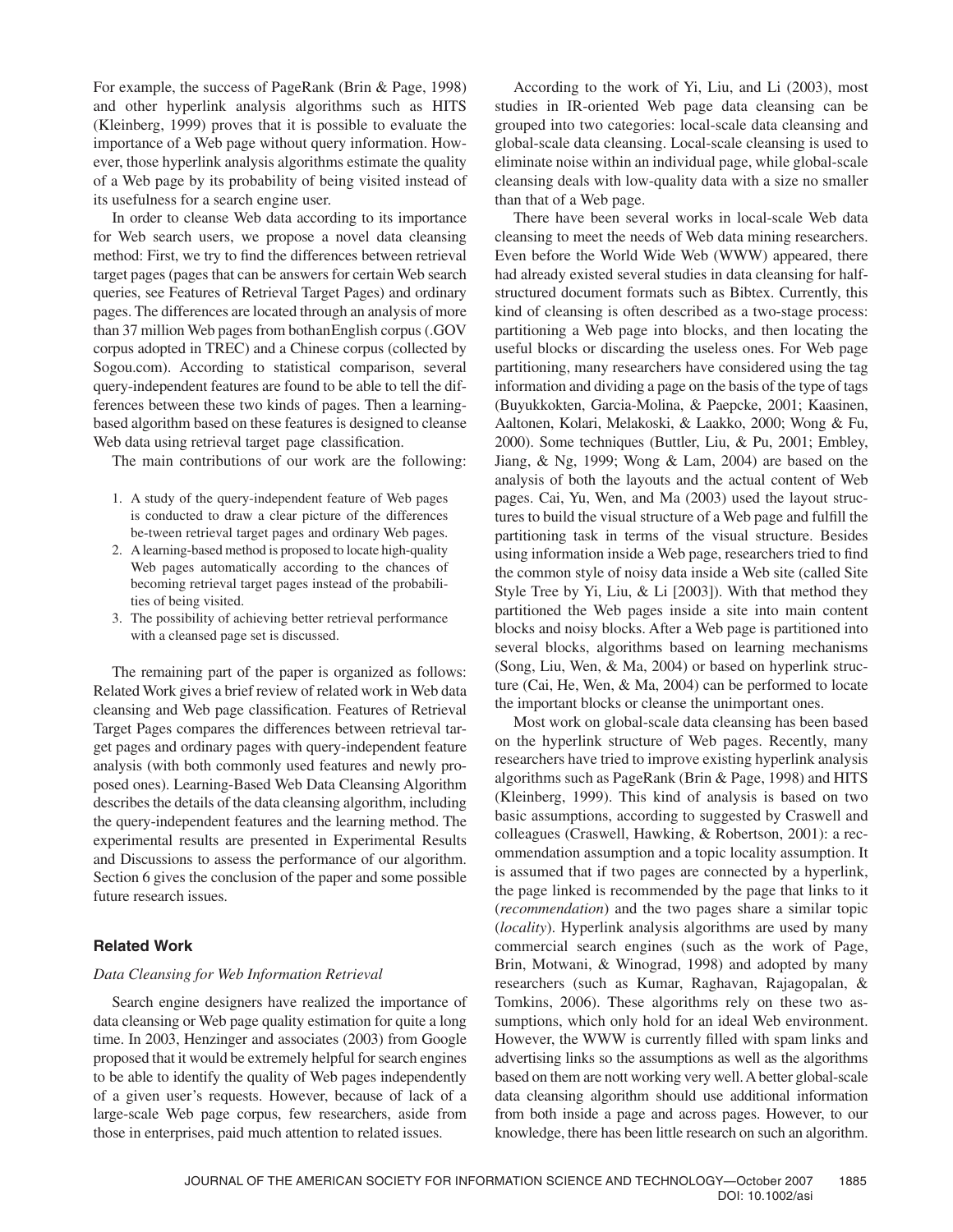For example, the success of PageRank (Brin & Page, 1998) and other hyperlink analysis algorithms such as HITS (Kleinberg, 1999) proves that it is possible to evaluate the importance of a Web page without query information. However, those hyperlink analysis algorithms estimate the quality of a Web page by its probability of being visited instead of its usefulness for a search engine user.

In order to cleanse Web data according to its importance for Web search users, we propose a novel data cleansing method: First, we try to find the differences between retrieval target pages (pages that can be answers for certain Web search queries, see Features of Retrieval Target Pages) and ordinary pages. The differences are located through an analysis of more than 37 million Web pages from bothanEnglish corpus (.GOV corpus adopted in TREC) and a Chinese corpus (collected by Sogou.com). According to statistical comparison, several query-independent features are found to be able to tell the differences between these two kinds of pages. Then a learningbased algorithm based on these features is designed to cleanse Web data using retrieval target page classification.

The main contributions of our work are the following:

- 1. A study of the query-independent feature of Web pages is conducted to draw a clear picture of the differences be-tween retrieval target pages and ordinary Web pages.
- 2. A learning-based method is proposed to locate high-quality Web pages automatically according to the chances of becoming retrieval target pages instead of the probabilities of being visited.
- 3. The possibility of achieving better retrieval performance with a cleansed page set is discussed.

The remaining part of the paper is organized as follows: Related Work gives a brief review of related work in Web data cleansing and Web page classification. Features of Retrieval Target Pages compares the differences between retrieval target pages and ordinary pages with query-independent feature analysis (with both commonly used features and newly proposed ones). Learning-Based Web Data Cleansing Algorithm describes the details of the data cleansing algorithm, including the query-independent features and the learning method. The experimental results are presented in Experimental Results and Discussions to assess the performance of our algorithm. Section 6 gives the conclusion of the paper and some possible future research issues.

# **Related Work**

### *Data Cleansing for Web Information Retrieval*

Search engine designers have realized the importance of data cleansing or Web page quality estimation for quite a long time. In 2003, Henzinger and associates (2003) from Google proposed that it would be extremely helpful for search engines to be able to identify the quality of Web pages independently of a given user's requests. However, because of lack of a large-scale Web page corpus, few researchers, aside from those in enterprises, paid much attention to related issues.

According to the work of Yi, Liu, and Li (2003), most studies in IR-oriented Web page data cleansing can be grouped into two categories: local-scale data cleansing and global-scale data cleansing. Local-scale cleansing is used to eliminate noise within an individual page, while global-scale cleansing deals with low-quality data with a size no smaller than that of a Web page.

There have been several works in local-scale Web data cleansing to meet the needs of Web data mining researchers. Even before the World Wide Web (WWW) appeared, there had already existed several studies in data cleansing for halfstructured document formats such as Bibtex. Currently, this kind of cleansing is often described as a two-stage process: partitioning a Web page into blocks, and then locating the useful blocks or discarding the useless ones. For Web page partitioning, many researchers have considered using the tag information and dividing a page on the basis of the type of tags (Buyukkokten, Garcia-Molina, & Paepcke, 2001; Kaasinen, Aaltonen, Kolari, Melakoski, & Laakko, 2000; Wong & Fu, 2000). Some techniques (Buttler, Liu, & Pu, 2001; Embley, Jiang, & Ng, 1999; Wong & Lam, 2004) are based on the analysis of both the layouts and the actual content of Web pages. Cai, Yu, Wen, and Ma (2003) used the layout structures to build the visual structure of a Web page and fulfill the partitioning task in terms of the visual structure. Besides using information inside a Web page, researchers tried to find the common style of noisy data inside a Web site (called Site Style Tree by Yi, Liu, & Li [2003]). With that method they partitioned the Web pages inside a site into main content blocks and noisy blocks. After a Web page is partitioned into several blocks, algorithms based on learning mechanisms (Song, Liu, Wen, & Ma, 2004) or based on hyperlink structure (Cai, He, Wen, & Ma, 2004) can be performed to locate the important blocks or cleanse the unimportant ones.

Most work on global-scale data cleansing has been based on the hyperlink structure of Web pages. Recently, many researchers have tried to improve existing hyperlink analysis algorithms such as PageRank (Brin & Page, 1998) and HITS (Kleinberg, 1999). This kind of analysis is based on two basic assumptions, according to suggested by Craswell and colleagues (Craswell, Hawking, & Robertson, 2001): a recommendation assumption and a topic locality assumption. It is assumed that if two pages are connected by a hyperlink, the page linked is recommended by the page that links to it (*recommendation*) and the two pages share a similar topic (*locality*). Hyperlink analysis algorithms are used by many commercial search engines (such as the work of Page, Brin, Motwani, & Winograd, 1998) and adopted by many researchers (such as Kumar, Raghavan, Rajagopalan, & Tomkins, 2006). These algorithms rely on these two assumptions, which only hold for an ideal Web environment. However, the WWW is currently filled with spam links and advertising links so the assumptions as well as the algorithms based on them are nott working very well. Abetter global-scale data cleansing algorithm should use additional information from both inside a page and across pages. However, to our knowledge, there has been little research on such an algorithm.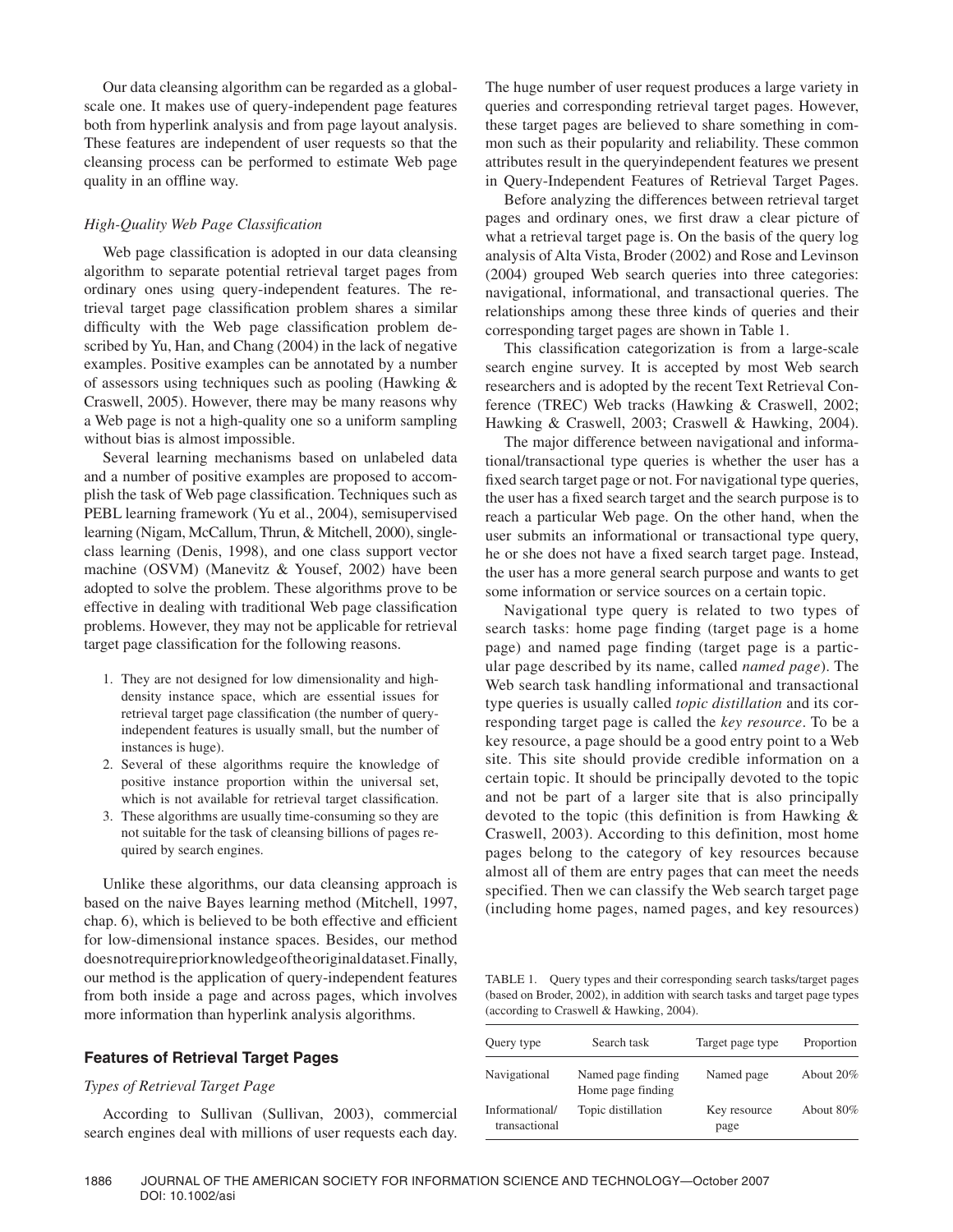Our data cleansing algorithm can be regarded as a globalscale one. It makes use of query-independent page features both from hyperlink analysis and from page layout analysis. These features are independent of user requests so that the cleansing process can be performed to estimate Web page quality in an offline way.

#### *High-Quality Web Page Classification*

Web page classification is adopted in our data cleansing algorithm to separate potential retrieval target pages from ordinary ones using query-independent features. The retrieval target page classification problem shares a similar difficulty with the Web page classification problem described by Yu, Han, and Chang (2004) in the lack of negative examples. Positive examples can be annotated by a number of assessors using techniques such as pooling (Hawking & Craswell, 2005). However, there may be many reasons why a Web page is not a high-quality one so a uniform sampling without bias is almost impossible.

Several learning mechanisms based on unlabeled data and a number of positive examples are proposed to accomplish the task of Web page classification. Techniques such as PEBL learning framework (Yu et al., 2004), semisupervised learning (Nigam, McCallum, Thrun, & Mitchell, 2000), singleclass learning (Denis, 1998), and one class support vector machine (OSVM) (Manevitz & Yousef, 2002) have been adopted to solve the problem. These algorithms prove to be effective in dealing with traditional Web page classification problems. However, they may not be applicable for retrieval target page classification for the following reasons.

- 1. They are not designed for low dimensionality and highdensity instance space, which are essential issues for retrieval target page classification (the number of queryindependent features is usually small, but the number of instances is huge).
- 2. Several of these algorithms require the knowledge of positive instance proportion within the universal set, which is not available for retrieval target classification.
- 3. These algorithms are usually time-consuming so they are not suitable for the task of cleansing billions of pages required by search engines.

Unlike these algorithms, our data cleansing approach is based on the naive Bayes learning method (Mitchell, 1997, chap. 6), which is believed to be both effective and efficient for low-dimensional instance spaces. Besides, our method doesnotrequirepriorknowledgeoftheoriginaldataset.Finally, our method is the application of query-independent features from both inside a page and across pages, which involves more information than hyperlink analysis algorithms.

# **Features of Retrieval Target Pages**

# *Types of Retrieval Target Page*

According to Sullivan (Sullivan, 2003), commercial search engines deal with millions of user requests each day. The huge number of user request produces a large variety in queries and corresponding retrieval target pages. However, these target pages are believed to share something in common such as their popularity and reliability. These common attributes result in the queryindependent features we present in Query-Independent Features of Retrieval Target Pages.

Before analyzing the differences between retrieval target pages and ordinary ones, we first draw a clear picture of what a retrieval target page is. On the basis of the query log analysis of Alta Vista, Broder (2002) and Rose and Levinson (2004) grouped Web search queries into three categories: navigational, informational, and transactional queries. The relationships among these three kinds of queries and their corresponding target pages are shown in Table 1.

This classification categorization is from a large-scale search engine survey. It is accepted by most Web search researchers and is adopted by the recent Text Retrieval Conference (TREC) Web tracks (Hawking & Craswell, 2002; Hawking & Craswell, 2003; Craswell & Hawking, 2004).

The major difference between navigational and informational/transactional type queries is whether the user has a fixed search target page or not. For navigational type queries, the user has a fixed search target and the search purpose is to reach a particular Web page. On the other hand, when the user submits an informational or transactional type query, he or she does not have a fixed search target page. Instead, the user has a more general search purpose and wants to get some information or service sources on a certain topic.

Navigational type query is related to two types of search tasks: home page finding (target page is a home page) and named page finding (target page is a particular page described by its name, called *named page*). The Web search task handling informational and transactional type queries is usually called *topic distillation* and its corresponding target page is called the *key resource*. To be a key resource, a page should be a good entry point to a Web site. This site should provide credible information on a certain topic. It should be principally devoted to the topic and not be part of a larger site that is also principally devoted to the topic (this definition is from Hawking & Craswell, 2003). According to this definition, most home pages belong to the category of key resources because almost all of them are entry pages that can meet the needs specified. Then we can classify the Web search target page (including home pages, named pages, and key resources)

TABLE 1. Query types and their corresponding search tasks/target pages (based on Broder, 2002), in addition with search tasks and target page types (according to Craswell & Hawking, 2004).

| Query type                      | Search task                             | Target page type     | Proportion   |
|---------------------------------|-----------------------------------------|----------------------|--------------|
| Navigational                    | Named page finding<br>Home page finding | Named page           | About $20\%$ |
| Informational/<br>transactional | Topic distillation                      | Key resource<br>page | About 80%    |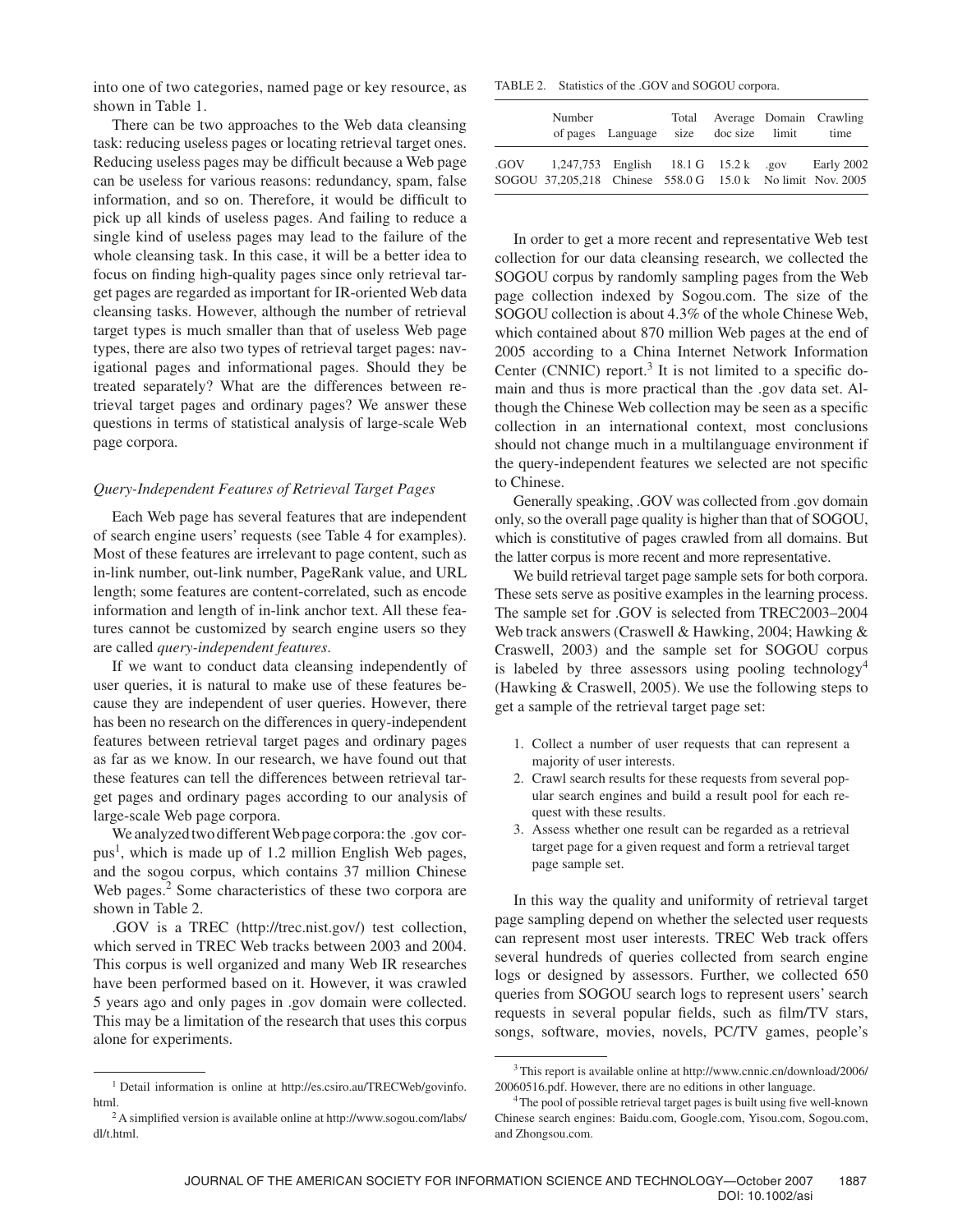into one of two categories, named page or key resource, as shown in Table 1.

There can be two approaches to the Web data cleansing task: reducing useless pages or locating retrieval target ones. Reducing useless pages may be difficult because a Web page can be useless for various reasons: redundancy, spam, false information, and so on. Therefore, it would be difficult to pick up all kinds of useless pages. And failing to reduce a single kind of useless pages may lead to the failure of the whole cleansing task. In this case, it will be a better idea to focus on finding high-quality pages since only retrieval target pages are regarded as important for IR-oriented Web data cleansing tasks. However, although the number of retrieval target types is much smaller than that of useless Web page types, there are also two types of retrieval target pages: navigational pages and informational pages. Should they be treated separately? What are the differences between retrieval target pages and ordinary pages? We answer these questions in terms of statistical analysis of large-scale Web page corpora.

## *Query-Independent Features of Retrieval Target Pages*

Each Web page has several features that are independent of search engine users' requests (see Table 4 for examples). Most of these features are irrelevant to page content, such as in-link number, out-link number, PageRank value, and URL length; some features are content-correlated, such as encode information and length of in-link anchor text. All these features cannot be customized by search engine users so they are called *query-independent features*.

If we want to conduct data cleansing independently of user queries, it is natural to make use of these features because they are independent of user queries. However, there has been no research on the differences in query-independent features between retrieval target pages and ordinary pages as far as we know. In our research, we have found out that these features can tell the differences between retrieval target pages and ordinary pages according to our analysis of large-scale Web page corpora.

We analyzed two differentWeb page corpora: the .gov corpus<sup>1</sup>, which is made up of 1.2 million English Web pages, and the sogou corpus, which contains 37 million Chinese Web pages.<sup>2</sup> Some characteristics of these two corpora are shown in Table 2.

.GOV is a TREC (http://trec.nist.gov/) test collection, which served in TREC Web tracks between 2003 and 2004. This corpus is well organized and many Web IR researches have been performed based on it. However, it was crawled 5 years ago and only pages in .gov domain were collected. This may be a limitation of the research that uses this corpus alone for experiments.

TABLE 2. Statistics of the .GOV and SOGOU corpora.

| Number                                                                                                 | of pages Language | size doc size limit | Total Average Domain Crawling<br>time |
|--------------------------------------------------------------------------------------------------------|-------------------|---------------------|---------------------------------------|
| GOV 1,247,753 English 18.1 G 15.2 k .gov<br>SOGOU 37,205,218 Chinese 558.0 G 15.0 k No limit Nov. 2005 |                   |                     | Early 2002                            |

In order to get a more recent and representative Web test collection for our data cleansing research, we collected the SOGOU corpus by randomly sampling pages from the Web page collection indexed by Sogou.com. The size of the SOGOU collection is about 4.3% of the whole Chinese Web, which contained about 870 million Web pages at the end of 2005 according to a China Internet Network Information Center (CNNIC) report.<sup>3</sup> It is not limited to a specific domain and thus is more practical than the .gov data set. Although the Chinese Web collection may be seen as a specific collection in an international context, most conclusions should not change much in a multilanguage environment if the query-independent features we selected are not specific to Chinese.

Generally speaking, .GOV was collected from .gov domain only, so the overall page quality is higher than that of SOGOU, which is constitutive of pages crawled from all domains. But the latter corpus is more recent and more representative.

We build retrieval target page sample sets for both corpora. These sets serve as positive examples in the learning process. The sample set for .GOV is selected from TREC2003–2004 Web track answers (Craswell & Hawking, 2004; Hawking & Craswell, 2003) and the sample set for SOGOU corpus is labeled by three assessors using pooling technology<sup>4</sup> (Hawking & Craswell, 2005). We use the following steps to get a sample of the retrieval target page set:

- 1. Collect a number of user requests that can represent a majority of user interests.
- 2. Crawl search results for these requests from several popular search engines and build a result pool for each request with these results.
- 3. Assess whether one result can be regarded as a retrieval target page for a given request and form a retrieval target page sample set.

In this way the quality and uniformity of retrieval target page sampling depend on whether the selected user requests can represent most user interests. TREC Web track offers several hundreds of queries collected from search engine logs or designed by assessors. Further, we collected 650 queries from SOGOU search logs to represent users' search requests in several popular fields, such as film/TV stars, songs, software, movies, novels, PC/TV games, people's

<sup>1</sup> Detail information is online at http://es.csiro.au/TRECWeb/govinfo.

html.<br><sup>2</sup> A simplified version is available online at http://www.sogou.com/labs/ dl/t.html.

<sup>3</sup> This report is available online at http://www.cnnic.cn/download/2006/ 20060516.pdf. However, there are no editions in other language.

<sup>&</sup>lt;sup>4</sup> The pool of possible retrieval target pages is built using five well-known Chinese search engines: Baidu.com, Google.com, Yisou.com, Sogou.com, and Zhongsou.com.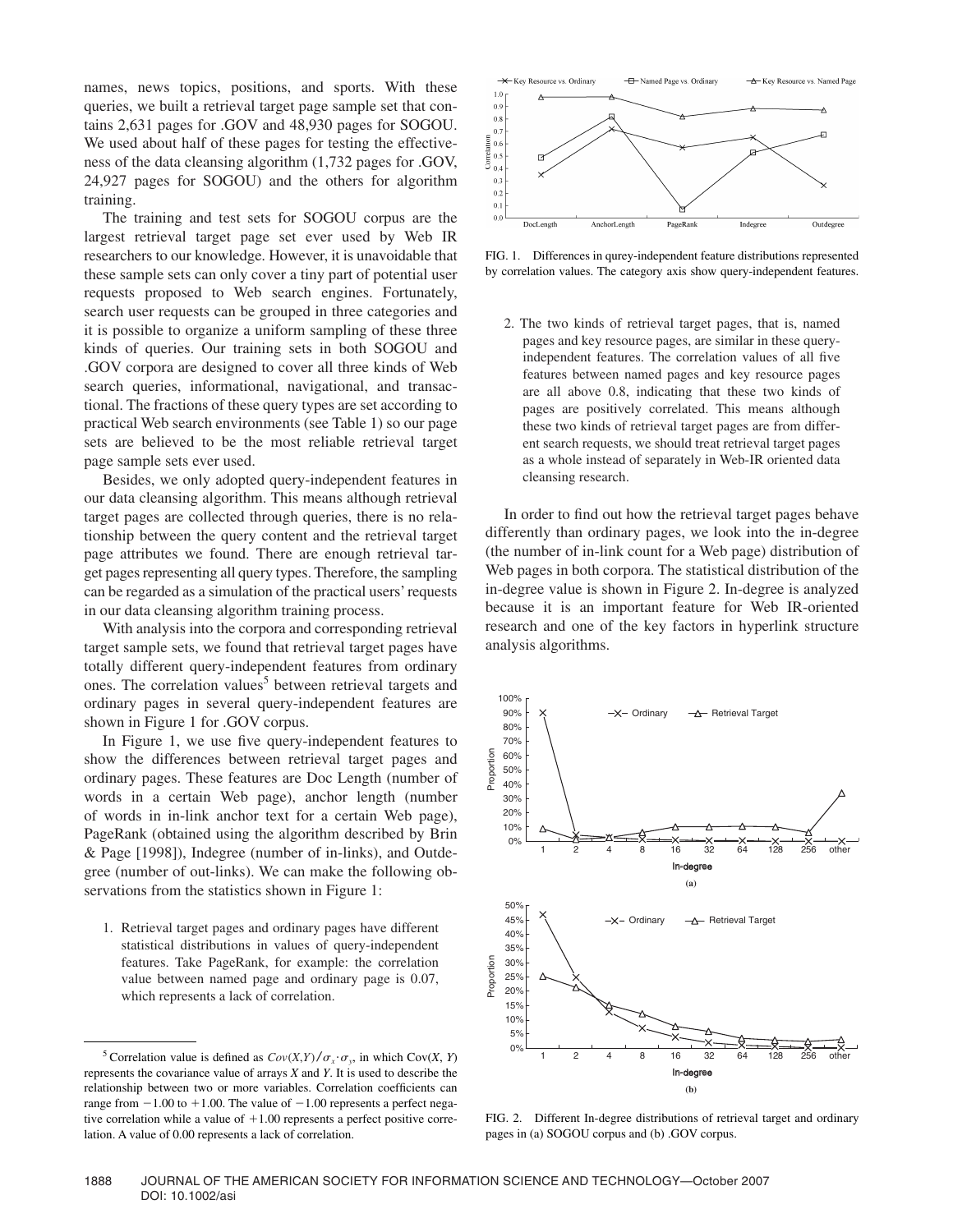names, news topics, positions, and sports. With these queries, we built a retrieval target page sample set that contains 2,631 pages for .GOV and 48,930 pages for SOGOU. We used about half of these pages for testing the effectiveness of the data cleansing algorithm (1,732 pages for .GOV, 24,927 pages for SOGOU) and the others for algorithm training.

The training and test sets for SOGOU corpus are the largest retrieval target page set ever used by Web IR researchers to our knowledge. However, it is unavoidable that these sample sets can only cover a tiny part of potential user requests proposed to Web search engines. Fortunately, search user requests can be grouped in three categories and it is possible to organize a uniform sampling of these three kinds of queries. Our training sets in both SOGOU and .GOV corpora are designed to cover all three kinds of Web search queries, informational, navigational, and transactional. The fractions of these query types are set according to practical Web search environments (see Table 1) so our page sets are believed to be the most reliable retrieval target page sample sets ever used.

Besides, we only adopted query-independent features in our data cleansing algorithm. This means although retrieval target pages are collected through queries, there is no relationship between the query content and the retrieval target page attributes we found. There are enough retrieval target pages representing all query types. Therefore, the sampling can be regarded as a simulation of the practical users' requests in our data cleansing algorithm training process.

With analysis into the corpora and corresponding retrieval target sample sets, we found that retrieval target pages have totally different query-independent features from ordinary ones. The correlation values<sup>5</sup> between retrieval targets and ordinary pages in several query-independent features are shown in Figure 1 for .GOV corpus.

In Figure 1, we use five query-independent features to show the differences between retrieval target pages and ordinary pages. These features are Doc Length (number of words in a certain Web page), anchor length (number of words in in-link anchor text for a certain Web page), PageRank (obtained using the algorithm described by Brin & Page [1998]), Indegree (number of in-links), and Outdegree (number of out-links). We can make the following observations from the statistics shown in Figure 1:

1. Retrieval target pages and ordinary pages have different statistical distributions in values of query-independent features. Take PageRank, for example: the correlation value between named page and ordinary page is 0.07, which represents a lack of correlation.



FIG. 1. Differences in qurey-independent feature distributions represented by correlation values. The category axis show query-independent features.

2. The two kinds of retrieval target pages, that is, named pages and key resource pages, are similar in these queryindependent features. The correlation values of all five features between named pages and key resource pages are all above 0.8, indicating that these two kinds of pages are positively correlated. This means although these two kinds of retrieval target pages are from different search requests, we should treat retrieval target pages as a whole instead of separately in Web-IR oriented data cleansing research.

In order to find out how the retrieval target pages behave differently than ordinary pages, we look into the in-degree (the number of in-link count for a Web page) distribution of Web pages in both corpora. The statistical distribution of the in-degree value is shown in Figure 2. In-degree is analyzed because it is an important feature for Web IR-oriented research and one of the key factors in hyperlink structure analysis algorithms.



FIG. 2. Different In-degree distributions of retrieval target and ordinary pages in (a) SOGOU corpus and (b) .GOV corpus.

<sup>&</sup>lt;sup>5</sup> Correlation value is defined as  $Cov(X,Y)/\sigma_X \cdot \sigma_Y$ , in which Cov(*X*, *Y*) represents the covariance value of arrays *X* and *Y*. It is used to describe the relationship between two or more variables. Correlation coefficients can range from  $-1.00$  to  $+1.00$ . The value of  $-1.00$  represents a perfect negative correlation while a value of  $+1.00$  represents a perfect positive correlation. A value of 0.00 represents a lack of correlation.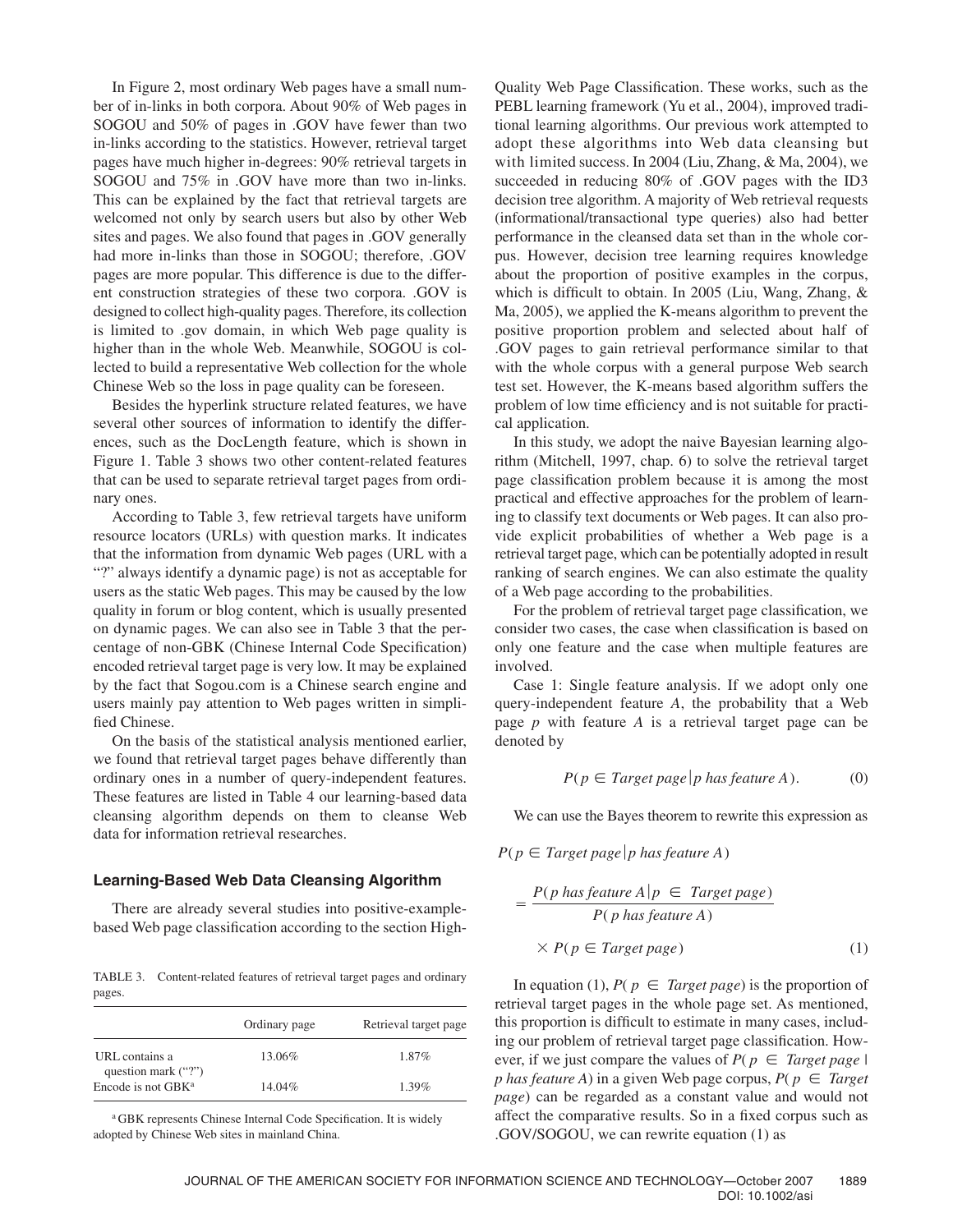In Figure 2, most ordinary Web pages have a small number of in-links in both corpora. About 90% of Web pages in SOGOU and 50% of pages in .GOV have fewer than two in-links according to the statistics. However, retrieval target pages have much higher in-degrees: 90% retrieval targets in SOGOU and 75% in .GOV have more than two in-links. This can be explained by the fact that retrieval targets are welcomed not only by search users but also by other Web sites and pages. We also found that pages in .GOV generally had more in-links than those in SOGOU; therefore, .GOV pages are more popular. This difference is due to the different construction strategies of these two corpora. .GOV is designed to collect high-quality pages. Therefore, its collection is limited to .gov domain, in which Web page quality is higher than in the whole Web. Meanwhile, SOGOU is collected to build a representative Web collection for the whole Chinese Web so the loss in page quality can be foreseen.

Besides the hyperlink structure related features, we have several other sources of information to identify the differences, such as the DocLength feature, which is shown in Figure 1. Table 3 shows two other content-related features that can be used to separate retrieval target pages from ordinary ones.

According to Table 3, few retrieval targets have uniform resource locators (URLs) with question marks. It indicates that the information from dynamic Web pages (URL with a "?" always identify a dynamic page) is not as acceptable for users as the static Web pages. This may be caused by the low quality in forum or blog content, which is usually presented on dynamic pages. We can also see in Table 3 that the percentage of non-GBK (Chinese Internal Code Specification) encoded retrieval target page is very low. It may be explained by the fact that Sogou.com is a Chinese search engine and users mainly pay attention to Web pages written in simplified Chinese.

On the basis of the statistical analysis mentioned earlier, we found that retrieval target pages behave differently than ordinary ones in a number of query-independent features. These features are listed in Table 4 our learning-based data cleansing algorithm depends on them to cleanse Web data for information retrieval researches.

# **Learning-Based Web Data Cleansing Algorithm**

There are already several studies into positive-examplebased Web page classification according to the section High-

TABLE 3. Content-related features of retrieval target pages and ordinary pages.

|                                         | Ordinary page | Retrieval target page |
|-----------------------------------------|---------------|-----------------------|
| URL contains a<br>question mark $("?")$ | 13.06%        | 1.87%                 |
| Encode is not GBK <sup>a</sup>          | 14.04%        | $1.39\%$              |

a GBK represents Chinese Internal Code Specification. It is widely adopted by Chinese Web sites in mainland China.

Quality Web Page Classification. These works, such as the PEBL learning framework (Yu et al., 2004), improved traditional learning algorithms. Our previous work attempted to adopt these algorithms into Web data cleansing but with limited success. In 2004 (Liu, Zhang, & Ma, 2004), we succeeded in reducing 80% of .GOV pages with the ID3 decision tree algorithm. A majority of Web retrieval requests (informational/transactional type queries) also had better performance in the cleansed data set than in the whole corpus. However, decision tree learning requires knowledge about the proportion of positive examples in the corpus, which is difficult to obtain. In 2005 (Liu, Wang, Zhang, & Ma, 2005), we applied the K-means algorithm to prevent the positive proportion problem and selected about half of .GOV pages to gain retrieval performance similar to that with the whole corpus with a general purpose Web search test set. However, the K-means based algorithm suffers the problem of low time efficiency and is not suitable for practical application.

In this study, we adopt the naive Bayesian learning algorithm (Mitchell, 1997, chap. 6) to solve the retrieval target page classification problem because it is among the most practical and effective approaches for the problem of learning to classify text documents or Web pages. It can also provide explicit probabilities of whether a Web page is a retrieval target page, which can be potentially adopted in result ranking of search engines. We can also estimate the quality of a Web page according to the probabilities.

For the problem of retrieval target page classification, we consider two cases, the case when classification is based on only one feature and the case when multiple features are involved.

Case 1: Single feature analysis. If we adopt only one query-independent feature *A*, the probability that a Web page *p* with feature *A* is a retrieval target page can be denoted by

$$
P(p \in Target \, page \, | p \, has \, feature \, A). \tag{0}
$$

We can use the Bayes theorem to rewrite this expression as

 $P(p \in Target \, page | p \, has \, feature \, A)$ 

$$
= \frac{P(p \text{ has feature A} | p \in Target \text{ page})}{P(p \text{ has feature A})}
$$
  
× P(p \in Target \text{ page}) \t(1)

In equation (1),  $P(p \in Target \, page)$  is the proportion of retrieval target pages in the whole page set. As mentioned, this proportion is difficult to estimate in many cases, including our problem of retrieval target page classification. However, if we just compare the values of  $P(p \in Target \ page \ |$ *p* has feature A) in a given Web page corpus,  $P(p \in Target$ *page*) can be regarded as a constant value and would not affect the comparative results. So in a fixed corpus such as .GOV/SOGOU, we can rewrite equation (1) as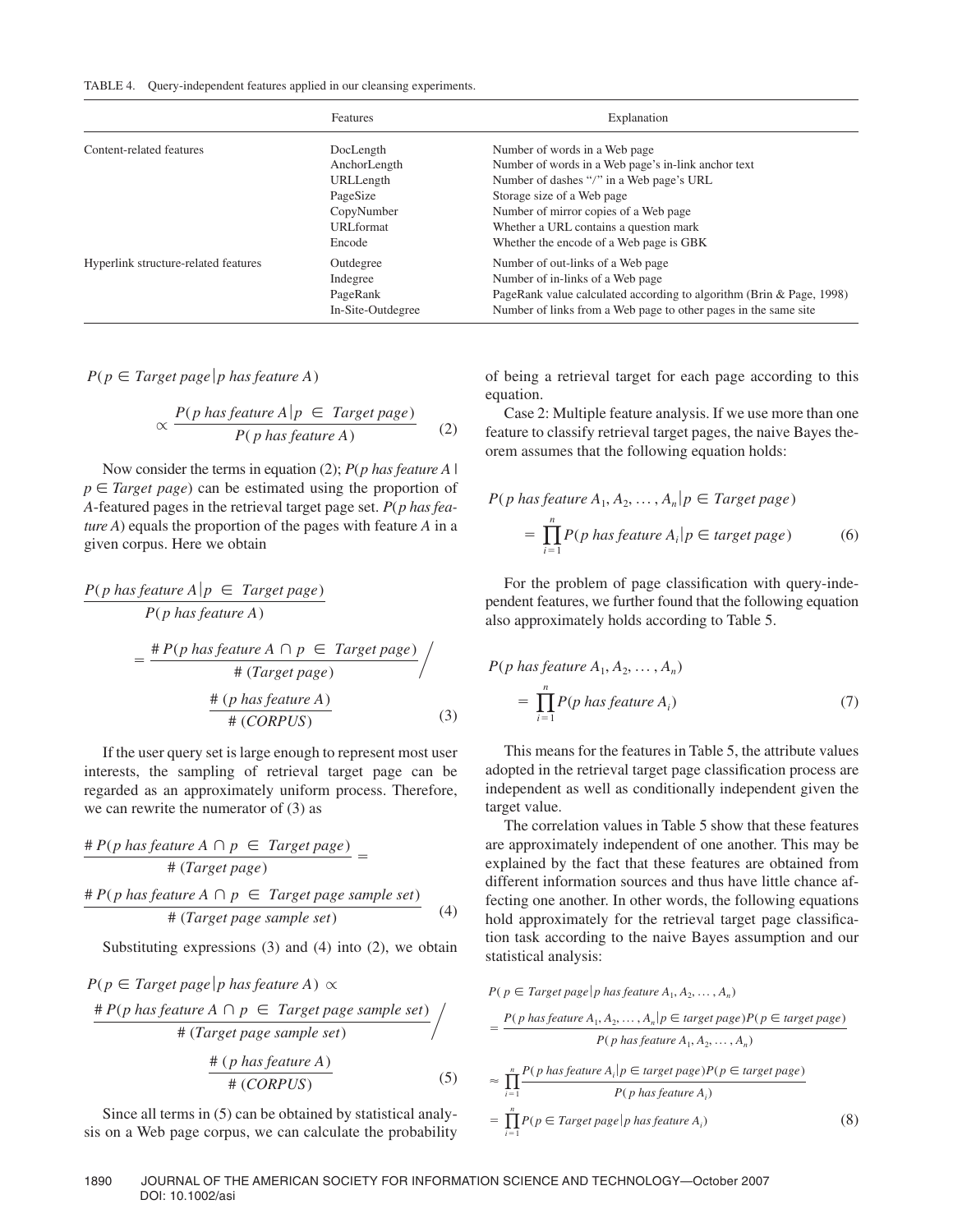TABLE 4. Query-independent features applied in our cleansing experiments.

|                                      | Features          | Explanation                                                          |
|--------------------------------------|-------------------|----------------------------------------------------------------------|
| Content-related features             | DocLength         | Number of words in a Web page                                        |
|                                      | AnchorLength      | Number of words in a Web page's in-link anchor text                  |
|                                      | URLLength         | Number of dashes "/" in a Web page's URL                             |
|                                      | PageSize          | Storage size of a Web page                                           |
|                                      | CopyNumber        | Number of mirror copies of a Web page                                |
|                                      | <b>URL</b> format | Whether a URL contains a question mark                               |
|                                      | Encode            | Whether the encode of a Web page is GBK                              |
| Hyperlink structure-related features | Outdegree         | Number of out-links of a Web page                                    |
|                                      | Indegree          | Number of in-links of a Web page                                     |
|                                      | PageRank          | PageRank value calculated according to algorithm (Brin & Page, 1998) |
|                                      | In-Site-Outdegree | Number of links from a Web page to other pages in the same site      |

$$
\propto \frac{P(p \text{ has feature A} | p \in Target \text{ page})}{P(p \text{ has feature A})}
$$
 (2)

Now consider the terms in equation (2); *P*(*p has feature A* |  $p \in Target \, page$ ) can be estimated using the proportion of *A*-featured pages in the retrieval target page set. *P*(*p has feature A*) equals the proportion of the pages with feature *A* in a given corpus. Here we obtain

$$
P(p \text{ has feature } A | p \in Target \text{ page})
$$
  
\n
$$
P(p \text{ has feature } A)
$$
  
\n
$$
= \frac{\# P(p \text{ has feature } A \cap p \in Target \text{ page})}{\# (Target \text{ page})}
$$
  
\n
$$
\frac{\# (p \text{ has feature } A)}{\# (CORPUS)}
$$
 (3)

If the user query set is large enough to represent most user interests, the sampling of retrieval target page can be regarded as an approximately uniform process. Therefore, we can rewrite the numerator of (3) as

$$
\frac{\# P(p \text{ has feature A} \cap p \in Target \text{ page})}{\# (Target \text{ page})} =
$$
\n
$$
\frac{\# P(p \text{ has feature A} \cap p \in Target \text{ page sample set})}{\# (Target \text{ page sample set})} \tag{4}
$$

Substituting expressions (3) and (4) into (2), we obtain

$$
P(p \in Target \ page | p \ has \ feature \ A) \propto
$$
  
\n
$$
\frac{\# P(p \ has \ feature \ A \cap p \in Target \ page \ sample \ set)}{\# (Target \ page \ sample \ set)}
$$
  
\n
$$
\frac{\# (p \ has \ feature \ A)}{\# (CORPUS)}
$$
 (5)

Since all terms in (5) can be obtained by statistical analysis on a Web page corpus, we can calculate the probability

 $P(p \in Target \, page \, | p \, has \, feature \, A)$  of being a retrieval target for each page according to this equation.

> Case 2: Multiple feature analysis. If we use more than one feature to classify retrieval target pages, the naive Bayes theorem assumes that the following equation holds:

$$
P(p \text{ has feature } A_1, A_2, \dots, A_n | p \in Target \text{ page})
$$
  
= 
$$
\prod_{i=1}^n P(p \text{ has feature } A_i | p \in target \text{ page})
$$
 (6)

For the problem of page classification with query-independent features, we further found that the following equation also approximately holds according to Table 5.

$$
P(p \text{ has feature } A_1, A_2, \dots, A_n)
$$
  
= 
$$
\prod_{i=1}^{n} P(p \text{ has feature } A_i)
$$
 (7)

This means for the features in Table 5, the attribute values adopted in the retrieval target page classification process are independent as well as conditionally independent given the target value.

The correlation values in Table 5 show that these features are approximately independent of one another. This may be explained by the fact that these features are obtained from different information sources and thus have little chance affecting one another. In other words, the following equations hold approximately for the retrieval target page classification task according to the naive Bayes assumption and our statistical analysis:

 $P(p \in Target \, page \, | p \, has \, feature \, A_1, A_2, \ldots, A_n)$ 

$$
= \frac{P(p \text{ has feature } A_1, A_2, \dots, A_n | p \in \text{target page}) P(p \in \text{target page})}{P(p \text{ has feature } A_1, A_2, \dots, A_n)}
$$

$$
\approx \prod_{i=1}^n \frac{P(p \text{ has feature } A_i | p \in \text{target page}) P(p \in \text{target page})}{P(p \text{ has feature } A_i)}
$$

$$
= \prod_{i=1}^n P(p \in \text{Target page} | p \text{ has feature } A_i)
$$
(8)

### 1890 JOURNAL OF THE AMERICAN SOCIETY FOR INFORMATION SCIENCE AND TECHNOLOGY—October 2007 DOI: 10.1002/asi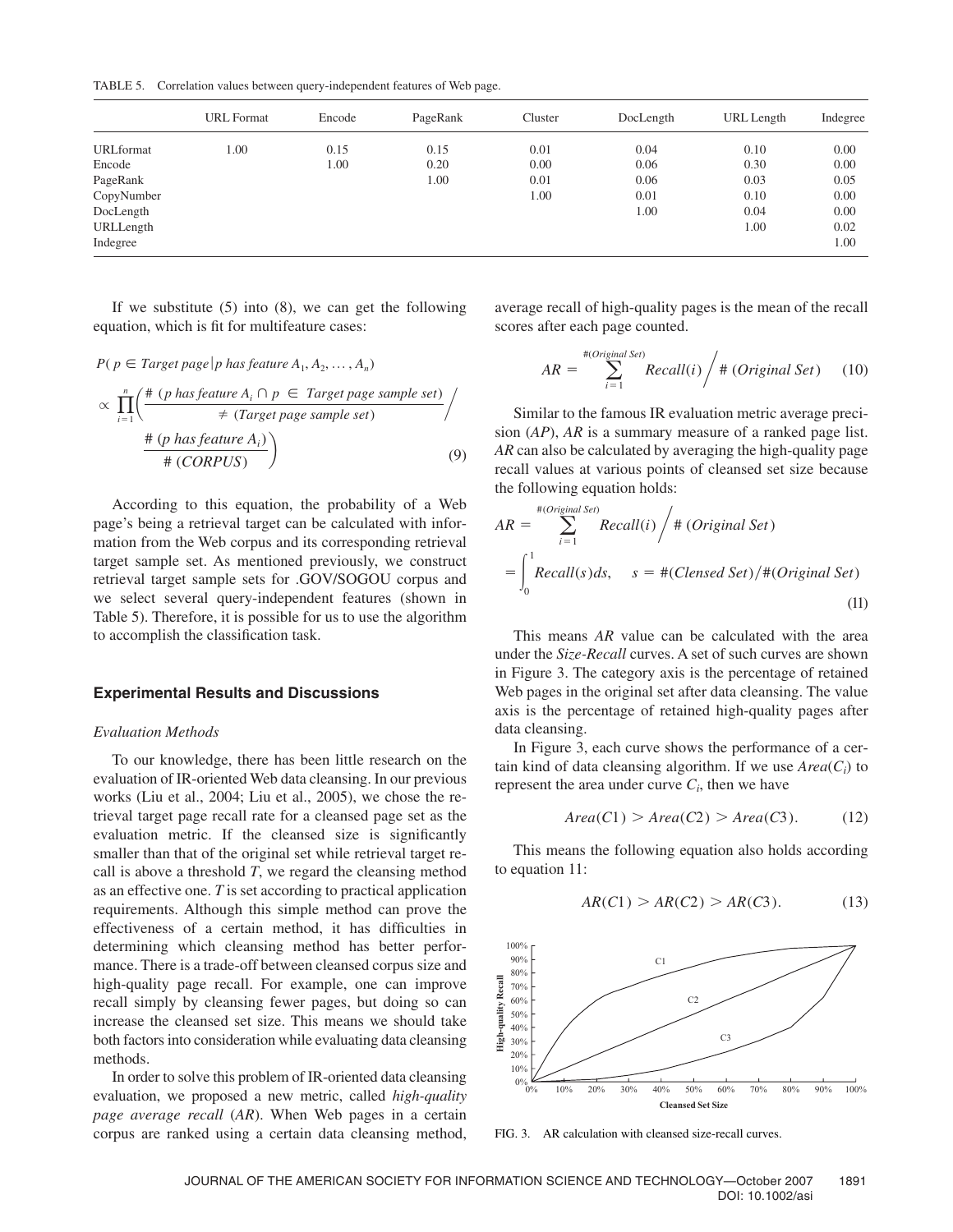TABLE 5. Correlation values between query-independent features of Web page.

|                   | <b>URL</b> Format | Encode | PageRank | Cluster | DocLength | URL Length | Indegree |
|-------------------|-------------------|--------|----------|---------|-----------|------------|----------|
| <b>URL</b> format | 1.00              | 0.15   | 0.15     | 0.01    | 0.04      | 0.10       | 0.00     |
| Encode            |                   | 1.00   | 0.20     | 0.00    | 0.06      | 0.30       | 0.00     |
| PageRank          |                   |        | 1.00     | 0.01    | 0.06      | 0.03       | 0.05     |
| CopyNumber        |                   |        |          | 1.00    | 0.01      | 0.10       | 0.00     |
| DocLength         |                   |        |          |         | 1.00      | 0.04       | 0.00     |
| URLLength         |                   |        |          |         |           | 1.00       | 0.02     |
| Indegree          |                   |        |          |         |           |            | 1.00     |

If we substitute  $(5)$  into  $(8)$ , we can get the following equation, which is fit for multifeature cases:

$$
P(p \in Target \, page \, | p \, has \, feature \, A_1, A_2, \ldots, A_n)
$$

$$
\propto \prod_{i=1}^{n} \left( \frac{\# (p \text{ has feature } A_i \cap p \in Target \text{ page sample set})}{\# (Target \text{ page sample set})} / \frac{\# (p \text{ has feature } A_i)}{\# (CORPUS)} \right)
$$
\n(9)

According to this equation, the probability of a Web page's being a retrieval target can be calculated with information from the Web corpus and its corresponding retrieval target sample set. As mentioned previously, we construct retrieval target sample sets for .GOV/SOGOU corpus and we select several query-independent features (shown in Table 5). Therefore, it is possible for us to use the algorithm to accomplish the classification task.

#### **Experimental Results and Discussions**

#### *Evaluation Methods*

To our knowledge, there has been little research on the evaluation of IR-oriented Web data cleansing. In our previous works (Liu et al., 2004; Liu et al., 2005), we chose the retrieval target page recall rate for a cleansed page set as the evaluation metric. If the cleansed size is significantly smaller than that of the original set while retrieval target recall is above a threshold *T*, we regard the cleansing method as an effective one. *T* is set according to practical application requirements. Although this simple method can prove the effectiveness of a certain method, it has difficulties in determining which cleansing method has better performance. There is a trade-off between cleansed corpus size and high-quality page recall. For example, one can improve recall simply by cleansing fewer pages, but doing so can increase the cleansed set size. This means we should take both factors into consideration while evaluating data cleansing methods.

In order to solve this problem of IR-oriented data cleansing evaluation, we proposed a new metric, called *high-quality page average recall* (*AR*). When Web pages in a certain corpus are ranked using a certain data cleansing method, average recall of high-quality pages is the mean of the recall scores after each page counted.

$$
AR = \sum_{i=1}^{\#(Original\ Set)} Recall(i) \Big/ \# (Original\ Set) \quad (10)
$$

Similar to the famous IR evaluation metric average precision (*AP*), *AR* is a summary measure of a ranked page list. *AR* can also be calculated by averaging the high-quality page recall values at various points of cleansed set size because the following equation holds:

$$
AR = \sum_{i=1}^{\#(Original Set)} Recall(i) / \# (Original Set)
$$
  
= 
$$
\int_{0}^{1} Recall(s)ds, \quad s = \#(Clensed Set) / \#(Original Set)
$$
 (11)

This means *AR* value can be calculated with the area under the *Size-Recall* curves. A set of such curves are shown in Figure 3. The category axis is the percentage of retained Web pages in the original set after data cleansing. The value axis is the percentage of retained high-quality pages after data cleansing.

In Figure 3, each curve shows the performance of a certain kind of data cleansing algorithm. If we use  $Area(C_i)$  to represent the area under curve  $C_i$ , then we have

$$
Area(C1) > Area(C2) > Area(C3).
$$
 (12)

This means the following equation also holds according to equation 11:

$$
AR(C1) > AR(C2) > AR(C3). \tag{13}
$$



FIG. 3. AR calculation with cleansed size-recall curves.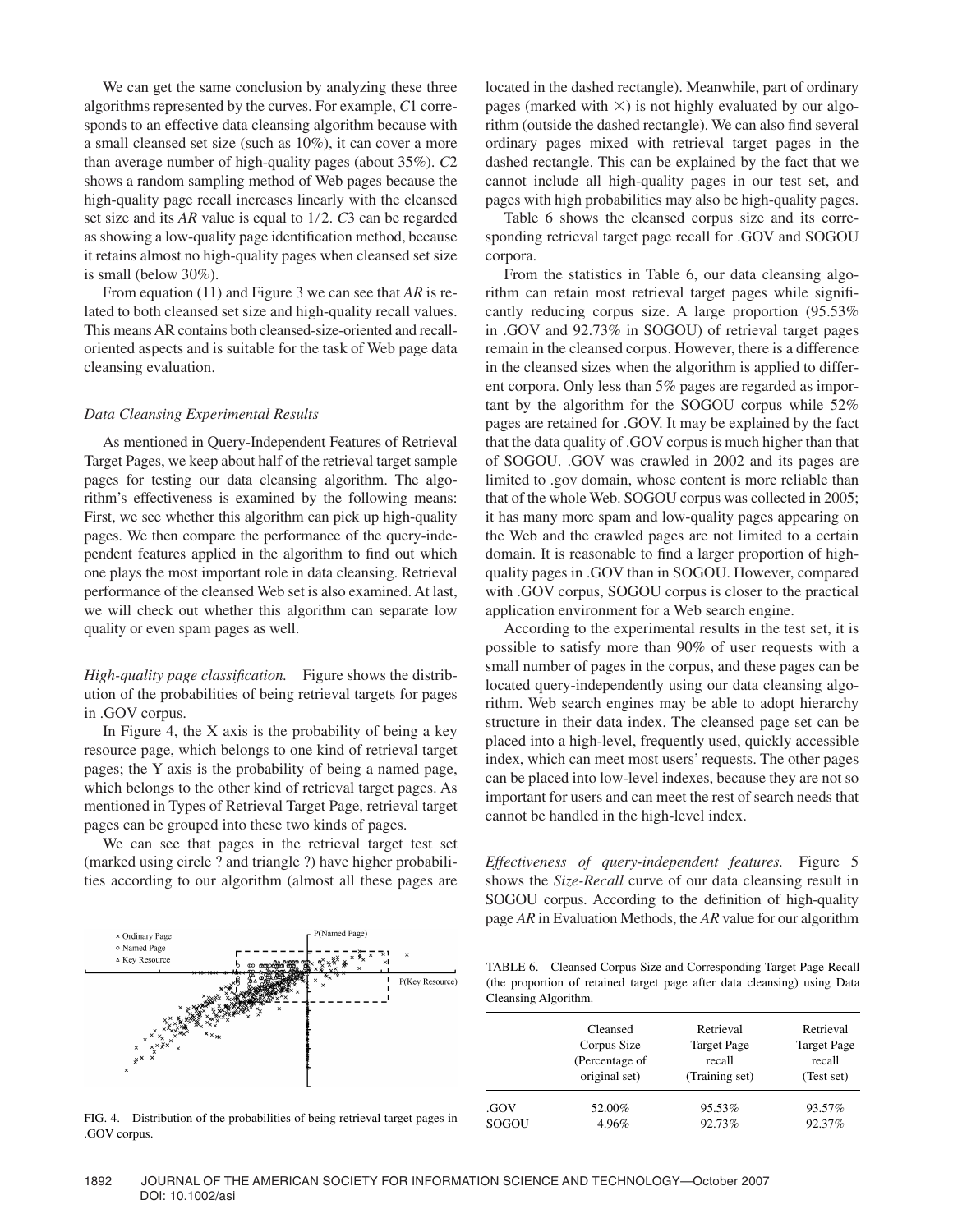We can get the same conclusion by analyzing these three algorithms represented by the curves. For example, *C*1 corresponds to an effective data cleansing algorithm because with a small cleansed set size (such as 10%), it can cover a more than average number of high-quality pages (about 35%). *C*2 shows a random sampling method of Web pages because the high-quality page recall increases linearly with the cleansed set size and its *AR* value is equal to 1/2. *C*3 can be regarded as showing a low-quality page identification method, because it retains almost no high-quality pages when cleansed set size is small (below 30%).

From equation (11) and Figure 3 we can see that *AR* is related to both cleansed set size and high-quality recall values. This means AR contains both cleansed-size-oriented and recalloriented aspects and is suitable for the task of Web page data cleansing evaluation.

#### *Data Cleansing Experimental Results*

As mentioned in Query-Independent Features of Retrieval Target Pages, we keep about half of the retrieval target sample pages for testing our data cleansing algorithm. The algorithm's effectiveness is examined by the following means: First, we see whether this algorithm can pick up high-quality pages. We then compare the performance of the query-independent features applied in the algorithm to find out which one plays the most important role in data cleansing. Retrieval performance of the cleansed Web set is also examined. At last, we will check out whether this algorithm can separate low quality or even spam pages as well.

*High-quality page classification.* Figure shows the distribution of the probabilities of being retrieval targets for pages in .GOV corpus.

In Figure 4, the  $X$  axis is the probability of being a key resource page, which belongs to one kind of retrieval target pages; the Y axis is the probability of being a named page, which belongs to the other kind of retrieval target pages. As mentioned in Types of Retrieval Target Page, retrieval target pages can be grouped into these two kinds of pages.

We can see that pages in the retrieval target test set (marked using circle ? and triangle ?) have higher probabilities according to our algorithm (almost all these pages are



FIG. 4. Distribution of the probabilities of being retrieval target pages in .GOV corpus.

located in the dashed rectangle). Meanwhile, part of ordinary pages (marked with  $\times$ ) is not highly evaluated by our algorithm (outside the dashed rectangle). We can also find several ordinary pages mixed with retrieval target pages in the dashed rectangle. This can be explained by the fact that we cannot include all high-quality pages in our test set, and pages with high probabilities may also be high-quality pages.

Table 6 shows the cleansed corpus size and its corresponding retrieval target page recall for .GOV and SOGOU corpora.

From the statistics in Table 6, our data cleansing algorithm can retain most retrieval target pages while significantly reducing corpus size. A large proportion (95.53% in .GOV and 92.73% in SOGOU) of retrieval target pages remain in the cleansed corpus. However, there is a difference in the cleansed sizes when the algorithm is applied to different corpora. Only less than 5% pages are regarded as important by the algorithm for the SOGOU corpus while 52% pages are retained for .GOV. It may be explained by the fact that the data quality of .GOV corpus is much higher than that of SOGOU. .GOV was crawled in 2002 and its pages are limited to .gov domain, whose content is more reliable than that of the whole Web. SOGOU corpus was collected in 2005; it has many more spam and low-quality pages appearing on the Web and the crawled pages are not limited to a certain domain. It is reasonable to find a larger proportion of highquality pages in .GOV than in SOGOU. However, compared with .GOV corpus, SOGOU corpus is closer to the practical application environment for a Web search engine.

According to the experimental results in the test set, it is possible to satisfy more than 90% of user requests with a small number of pages in the corpus, and these pages can be located query-independently using our data cleansing algorithm. Web search engines may be able to adopt hierarchy structure in their data index. The cleansed page set can be placed into a high-level, frequently used, quickly accessible index, which can meet most users' requests. The other pages can be placed into low-level indexes, because they are not so important for users and can meet the rest of search needs that cannot be handled in the high-level index.

*Effectiveness of query-independent features.* Figure 5 shows the *Size-Recall* curve of our data cleansing result in SOGOU corpus. According to the definition of high-quality page *AR* in Evaluation Methods, the *AR* value for our algorithm

TABLE 6. Cleansed Corpus Size and Corresponding Target Page Recall (the proportion of retained target page after data cleansing) using Data Cleansing Algorithm.

|       | Cleansed       | Retrieval          | Retrieval          |
|-------|----------------|--------------------|--------------------|
|       | Corpus Size    | <b>Target Page</b> | <b>Target Page</b> |
|       | (Percentage of | recall             | recall             |
|       | original set)  | (Training set)     | (Test set)         |
| .GOV  | 52.00%         | 95.53%             | 93.57%             |
| SOGOU | 4.96%          | 92.73%             | 92.37%             |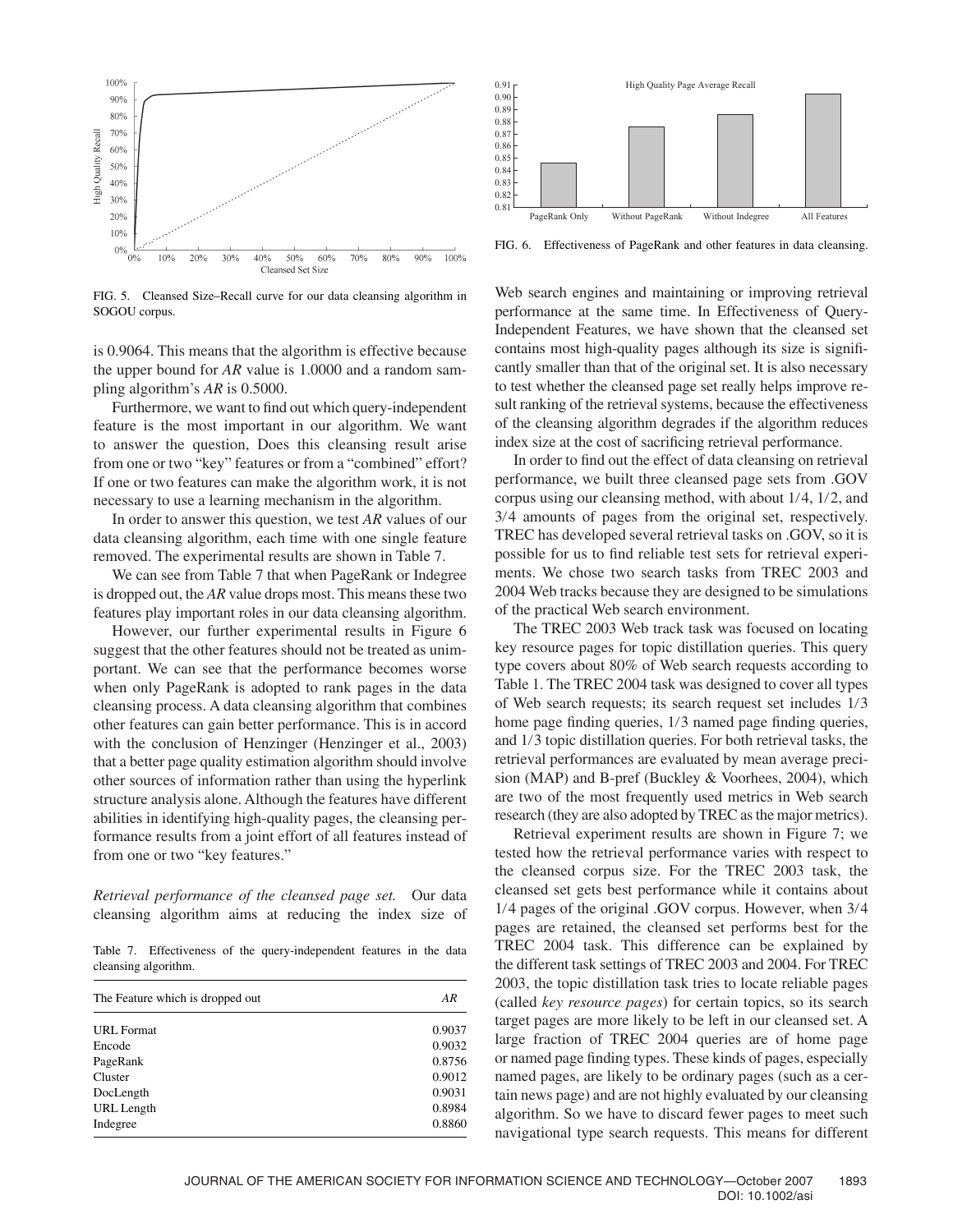

FIG. 5. Cleansed Size–Recall curve for our data cleansing algorithm in SOGOU corpus.

is 0.9064. This means that the algorithm is effective because the upper bound for *AR* value is 1.0000 and a random sampling algorithm's *AR* is 0.5000.

Furthermore, we want to find out which query-independent feature is the most important in our algorithm. We want to answer the question, Does this cleansing result arise from one or two "key" features or from a "combined" effort? If one or two features can make the algorithm work, it is not necessary to use a learning mechanism in the algorithm.

In order to answer this question, we test *AR* values of our data cleansing algorithm, each time with one single feature removed. The experimental results are shown in Table 7.

We can see from Table 7 that when PageRank or Indegree is dropped out, the *AR* value drops most. This means these two features play important roles in our data cleansing algorithm.

However, our further experimental results in Figure 6 suggest that the other features should not be treated as unimportant. We can see that the performance becomes worse when only PageRank is adopted to rank pages in the data cleansing process. A data cleansing algorithm that combines other features can gain better performance. This is in accord with the conclusion of Henzinger (Henzinger et al., 2003) that a better page quality estimation algorithm should involve other sources of information rather than using the hyperlink structure analysis alone. Although the features have different abilities in identifying high-quality pages, the cleansing performance results from a joint effort of all features instead of from one or two "key features."

*Retrieval performance of the cleansed page set.* Our data cleansing algorithm aims at reducing the index size of

Table 7. Effectiveness of the query-independent features in the data cleansing algorithm.

| The Feature which is dropped out | AR     |
|----------------------------------|--------|
| <b>URL</b> Format                | 0.9037 |
| Encode                           | 0.9032 |
| PageRank                         | 0.8756 |
| Cluster                          | 0.9012 |
| DocLength                        | 0.9031 |
| URL Length                       | 0.8984 |
| Indegree                         | 0.8860 |



FIG. 6. Effectiveness of PageRank and other features in data cleansing.

Web search engines and maintaining or improving retrieval performance at the same time. In Effectiveness of Query-Independent Features, we have shown that the cleansed set contains most high-quality pages although its size is significantly smaller than that of the original set. It is also necessary to test whether the cleansed page set really helps improve result ranking of the retrieval systems, because the effectiveness of the cleansing algorithm degrades if the algorithm reduces index size at the cost of sacrificing retrieval performance.

In order to find out the effect of data cleansing on retrieval performance, we built three cleansed page sets from .GOV corpus using our cleansing method, with about  $1/4$ ,  $1/2$ , and 34 amounts of pages from the original set, respectively. TREC has developed several retrieval tasks on .GOV, so it is possible for us to find reliable test sets for retrieval experiments. We chose two search tasks from TREC 2003 and 2004 Web tracks because they are designed to be simulations of the practical Web search environment.

The TREC 2003 Web track task was focused on locating key resource pages for topic distillation queries. This query type covers about 80% of Web search requests according to Table 1. The TREC 2004 task was designed to cover all types of Web search requests; its search request set includes  $1/3$ home page finding queries,  $1/3$  named page finding queries, and 1/3 topic distillation queries. For both retrieval tasks, the retrieval performances are evaluated by mean average precision (MAP) and B-pref (Buckley & Voorhees, 2004), which are two of the most frequently used metrics in Web search research (they are also adopted by TREC as the major metrics).

Retrieval experiment results are shown in Figure 7; we tested how the retrieval performance varies with respect to the cleansed corpus size. For the TREC 2003 task, the cleansed set gets best performance while it contains about 14 pages of the original .GOV corpus. However, when 34 pages are retained, the cleansed set performs best for the TREC 2004 task. This difference can be explained by the different task settings of TREC 2003 and 2004. For TREC 2003, the topic distillation task tries to locate reliable pages (called *key resource pages*) for certain topics, so its search target pages are more likely to be left in our cleansed set. A large fraction of TREC 2004 queries are of home page or named page finding types. These kinds of pages, especially named pages, are likely to be ordinary pages (such as a certain news page) and are not highly evaluated by our cleansing algorithm. So we have to discard fewer pages to meet such navigational type search requests. This means for different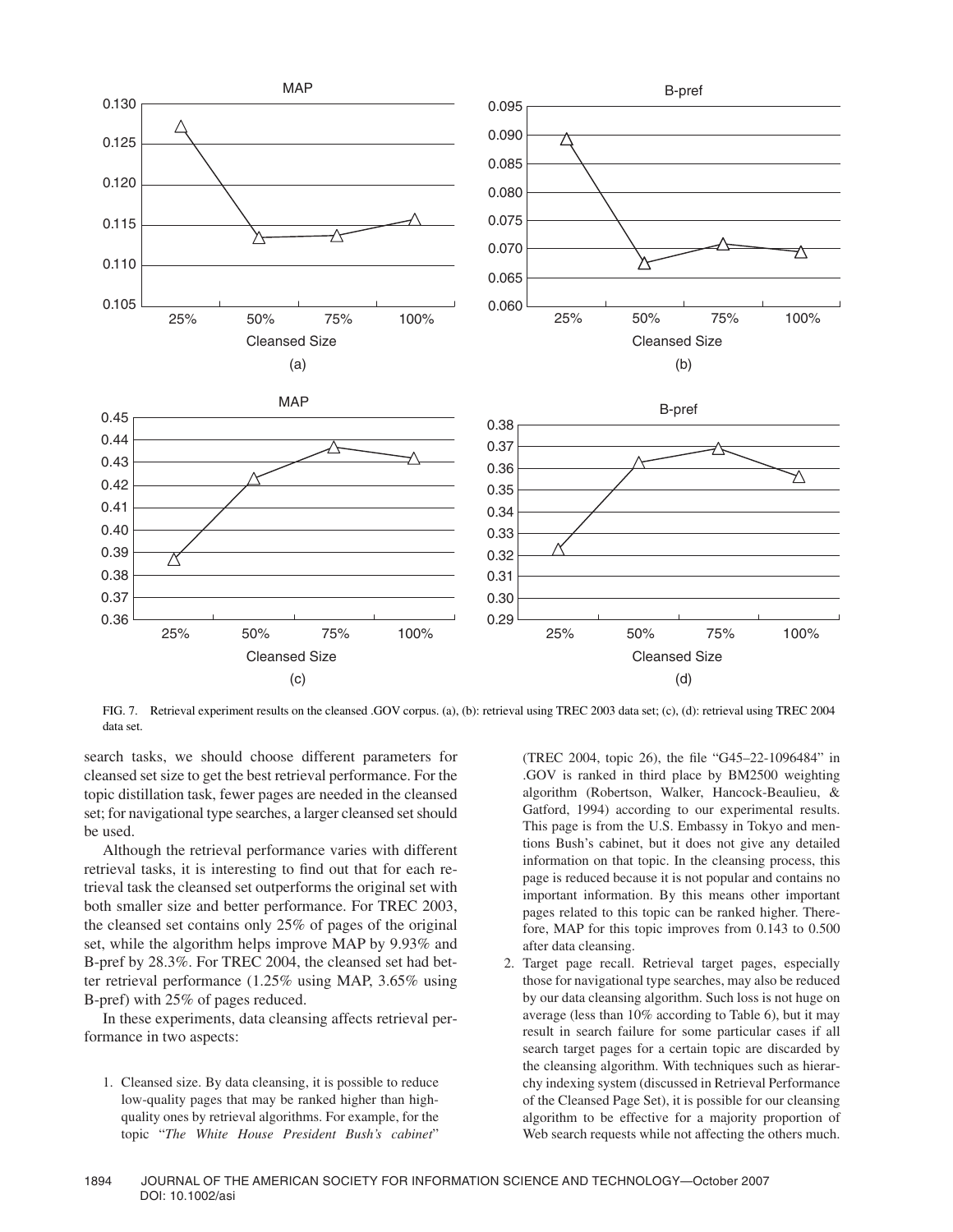

FIG. 7. Retrieval experiment results on the cleansed .GOV corpus. (a), (b): retrieval using TREC 2003 data set; (c), (d): retrieval using TREC 2004 data set.

search tasks, we should choose different parameters for cleansed set size to get the best retrieval performance. For the topic distillation task, fewer pages are needed in the cleansed set; for navigational type searches, a larger cleansed set should be used.

Although the retrieval performance varies with different retrieval tasks, it is interesting to find out that for each retrieval task the cleansed set outperforms the original set with both smaller size and better performance. For TREC 2003, the cleansed set contains only 25% of pages of the original set, while the algorithm helps improve MAP by 9.93% and B-pref by 28.3%. For TREC 2004, the cleansed set had better retrieval performance (1.25% using MAP, 3.65% using B-pref) with 25% of pages reduced.

In these experiments, data cleansing affects retrieval performance in two aspects:

1. Cleansed size. By data cleansing, it is possible to reduce low-quality pages that may be ranked higher than highquality ones by retrieval algorithms. For example, for the topic "*The White House President Bush's cabinet*"

(TREC 2004, topic 26), the file "G45–22-1096484" in .GOV is ranked in third place by BM2500 weighting algorithm (Robertson, Walker, Hancock-Beaulieu, & Gatford, 1994) according to our experimental results. This page is from the U.S. Embassy in Tokyo and mentions Bush's cabinet, but it does not give any detailed information on that topic. In the cleansing process, this page is reduced because it is not popular and contains no important information. By this means other important pages related to this topic can be ranked higher. Therefore, MAP for this topic improves from 0.143 to 0.500 after data cleansing.

2. Target page recall. Retrieval target pages, especially those for navigational type searches, may also be reduced by our data cleansing algorithm. Such loss is not huge on average (less than 10% according to Table 6), but it may result in search failure for some particular cases if all search target pages for a certain topic are discarded by the cleansing algorithm. With techniques such as hierarchy indexing system (discussed in Retrieval Performance of the Cleansed Page Set), it is possible for our cleansing algorithm to be effective for a majority proportion of Web search requests while not affecting the others much.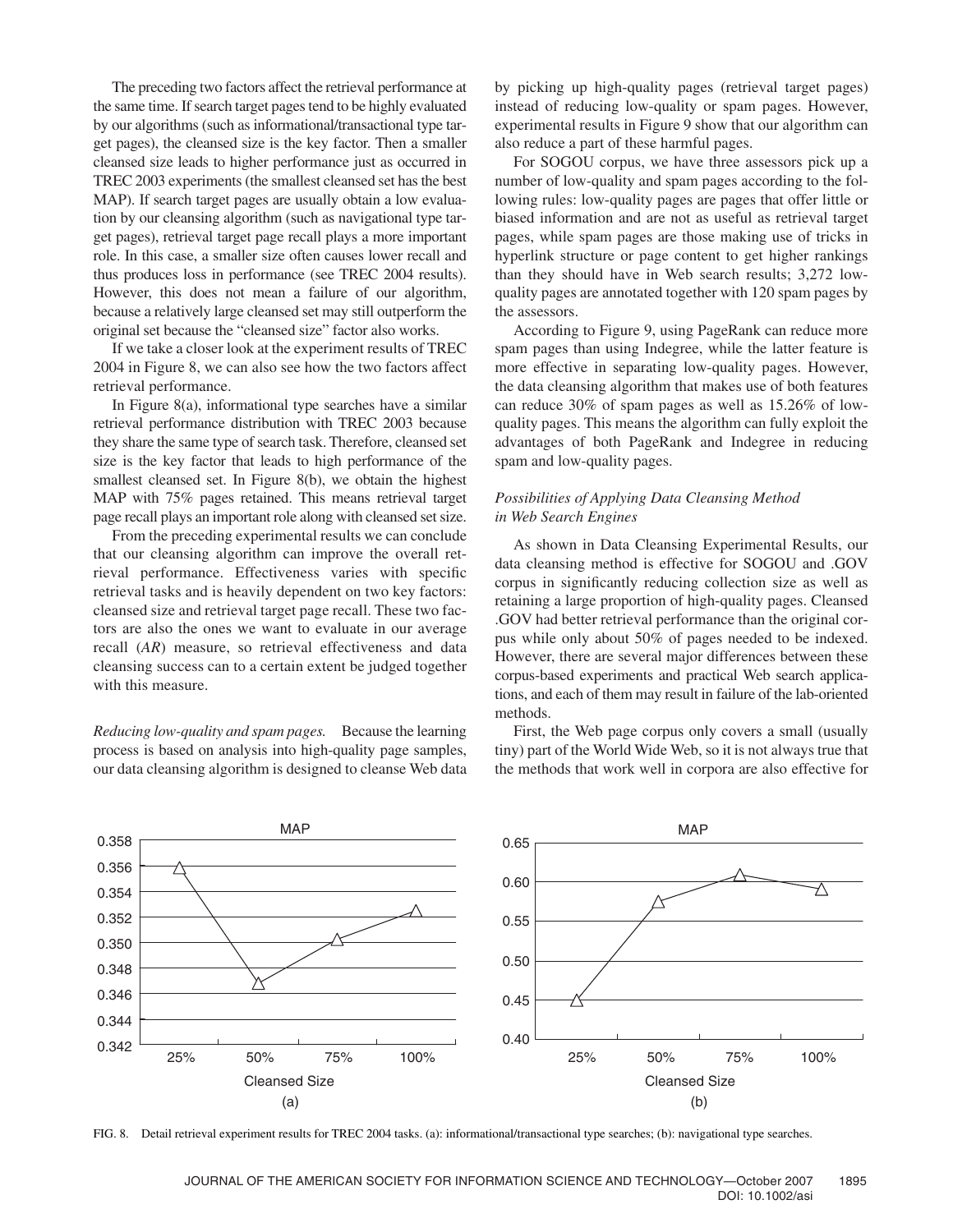The preceding two factors affect the retrieval performance at the same time. If search target pages tend to be highly evaluated by our algorithms (such as informational/transactional type target pages), the cleansed size is the key factor. Then a smaller cleansed size leads to higher performance just as occurred in TREC 2003 experiments (the smallest cleansed set has the best MAP). If search target pages are usually obtain a low evaluation by our cleansing algorithm (such as navigational type target pages), retrieval target page recall plays a more important role. In this case, a smaller size often causes lower recall and thus produces loss in performance (see TREC 2004 results). However, this does not mean a failure of our algorithm, because a relatively large cleansed set may still outperform the original set because the "cleansed size" factor also works.

If we take a closer look at the experiment results of TREC 2004 in Figure 8, we can also see how the two factors affect retrieval performance.

In Figure 8(a), informational type searches have a similar retrieval performance distribution with TREC 2003 because they share the same type of search task. Therefore, cleansed set size is the key factor that leads to high performance of the smallest cleansed set. In Figure 8(b), we obtain the highest MAP with 75% pages retained. This means retrieval target page recall plays an important role along with cleansed set size.

From the preceding experimental results we can conclude that our cleansing algorithm can improve the overall retrieval performance. Effectiveness varies with specific retrieval tasks and is heavily dependent on two key factors: cleansed size and retrieval target page recall. These two factors are also the ones we want to evaluate in our average recall (*AR*) measure, so retrieval effectiveness and data cleansing success can to a certain extent be judged together with this measure.

*Reducing low-quality and spam pages.* Because the learning process is based on analysis into high-quality page samples, our data cleansing algorithm is designed to cleanse Web data by picking up high-quality pages (retrieval target pages) instead of reducing low-quality or spam pages. However, experimental results in Figure 9 show that our algorithm can also reduce a part of these harmful pages.

For SOGOU corpus, we have three assessors pick up a number of low-quality and spam pages according to the following rules: low-quality pages are pages that offer little or biased information and are not as useful as retrieval target pages, while spam pages are those making use of tricks in hyperlink structure or page content to get higher rankings than they should have in Web search results; 3,272 lowquality pages are annotated together with 120 spam pages by the assessors.

According to Figure 9, using PageRank can reduce more spam pages than using Indegree, while the latter feature is more effective in separating low-quality pages. However, the data cleansing algorithm that makes use of both features can reduce 30% of spam pages as well as 15.26% of lowquality pages. This means the algorithm can fully exploit the advantages of both PageRank and Indegree in reducing spam and low-quality pages.

# *Possibilities of Applying Data Cleansing Method in Web Search Engines*

As shown in Data Cleansing Experimental Results, our data cleansing method is effective for SOGOU and .GOV corpus in significantly reducing collection size as well as retaining a large proportion of high-quality pages. Cleansed .GOV had better retrieval performance than the original corpus while only about 50% of pages needed to be indexed. However, there are several major differences between these corpus-based experiments and practical Web search applications, and each of them may result in failure of the lab-oriented methods.

First, the Web page corpus only covers a small (usually tiny) part of the World Wide Web, so it is not always true that the methods that work well in corpora are also effective for



FIG. 8. Detail retrieval experiment results for TREC 2004 tasks. (a): informational/transactional type searches; (b): navigational type searches.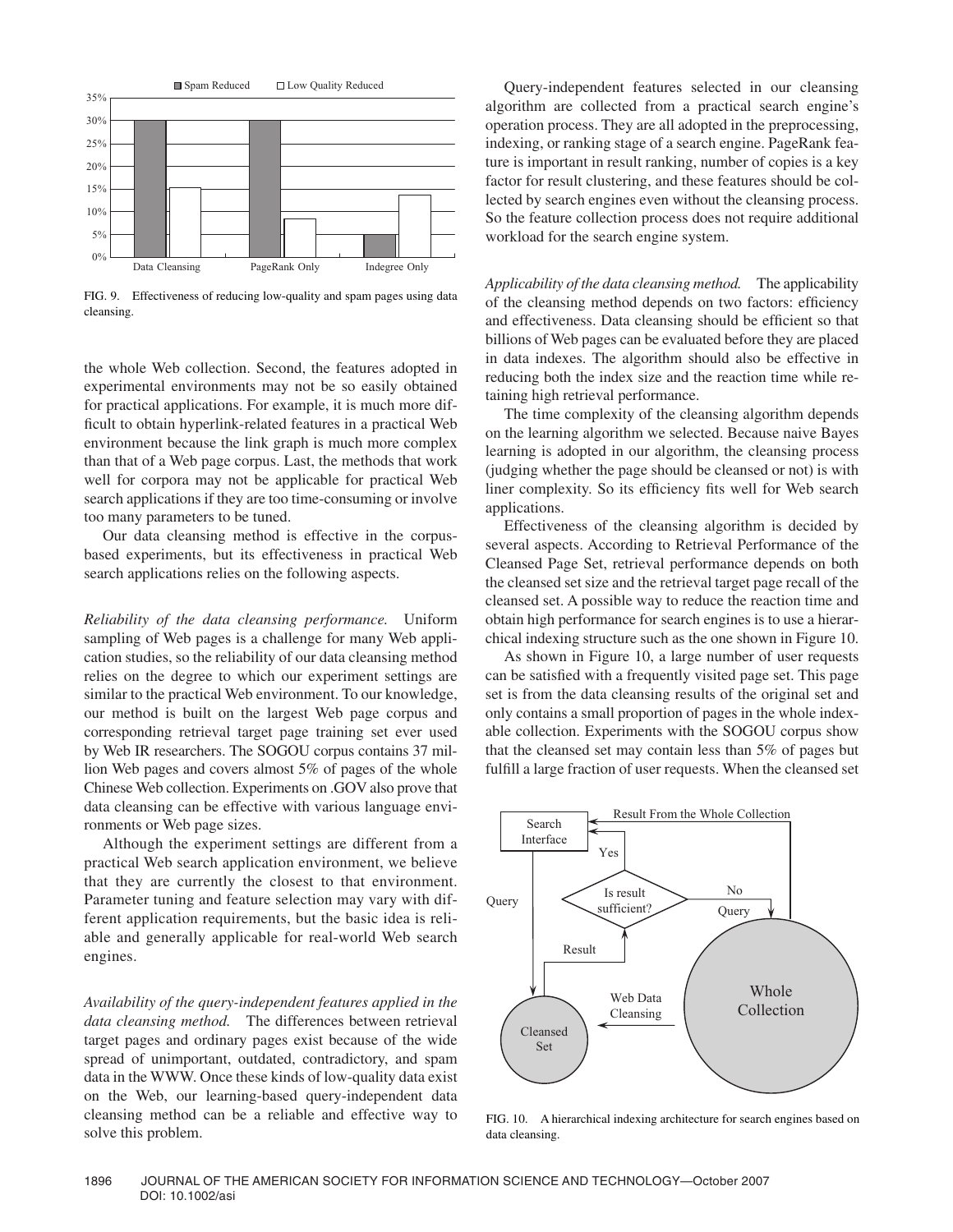

FIG. 9. Effectiveness of reducing low-quality and spam pages using data cleansing.

the whole Web collection. Second, the features adopted in experimental environments may not be so easily obtained for practical applications. For example, it is much more difficult to obtain hyperlink-related features in a practical Web environment because the link graph is much more complex than that of a Web page corpus. Last, the methods that work well for corpora may not be applicable for practical Web search applications if they are too time-consuming or involve too many parameters to be tuned.

Our data cleansing method is effective in the corpusbased experiments, but its effectiveness in practical Web search applications relies on the following aspects.

*Reliability of the data cleansing performance.* Uniform sampling of Web pages is a challenge for many Web application studies, so the reliability of our data cleansing method relies on the degree to which our experiment settings are similar to the practical Web environment. To our knowledge, our method is built on the largest Web page corpus and corresponding retrieval target page training set ever used by Web IR researchers. The SOGOU corpus contains 37 million Web pages and covers almost 5% of pages of the whole Chinese Web collection. Experiments on .GOV also prove that data cleansing can be effective with various language environments or Web page sizes.

Although the experiment settings are different from a practical Web search application environment, we believe that they are currently the closest to that environment. Parameter tuning and feature selection may vary with different application requirements, but the basic idea is reliable and generally applicable for real-world Web search engines.

*Availability of the query-independent features applied in the data cleansing method.* The differences between retrieval target pages and ordinary pages exist because of the wide spread of unimportant, outdated, contradictory, and spam data in the WWW. Once these kinds of low-quality data exist on the Web, our learning-based query-independent data cleansing method can be a reliable and effective way to solve this problem.

Query-independent features selected in our cleansing algorithm are collected from a practical search engine's operation process. They are all adopted in the preprocessing, indexing, or ranking stage of a search engine. PageRank feature is important in result ranking, number of copies is a key factor for result clustering, and these features should be collected by search engines even without the cleansing process. So the feature collection process does not require additional workload for the search engine system.

*Applicability of the data cleansing method.* The applicability of the cleansing method depends on two factors: efficiency and effectiveness. Data cleansing should be efficient so that billions of Web pages can be evaluated before they are placed in data indexes. The algorithm should also be effective in reducing both the index size and the reaction time while retaining high retrieval performance.

The time complexity of the cleansing algorithm depends on the learning algorithm we selected. Because naive Bayes learning is adopted in our algorithm, the cleansing process (judging whether the page should be cleansed or not) is with liner complexity. So its efficiency fits well for Web search applications.

Effectiveness of the cleansing algorithm is decided by several aspects. According to Retrieval Performance of the Cleansed Page Set, retrieval performance depends on both the cleansed set size and the retrieval target page recall of the cleansed set. A possible way to reduce the reaction time and obtain high performance for search engines is to use a hierarchical indexing structure such as the one shown in Figure 10.

As shown in Figure 10, a large number of user requests can be satisfied with a frequently visited page set. This page set is from the data cleansing results of the original set and only contains a small proportion of pages in the whole indexable collection. Experiments with the SOGOU corpus show that the cleansed set may contain less than 5% of pages but fulfill a large fraction of user requests. When the cleansed set



FIG. 10. A hierarchical indexing architecture for search engines based on data cleansing.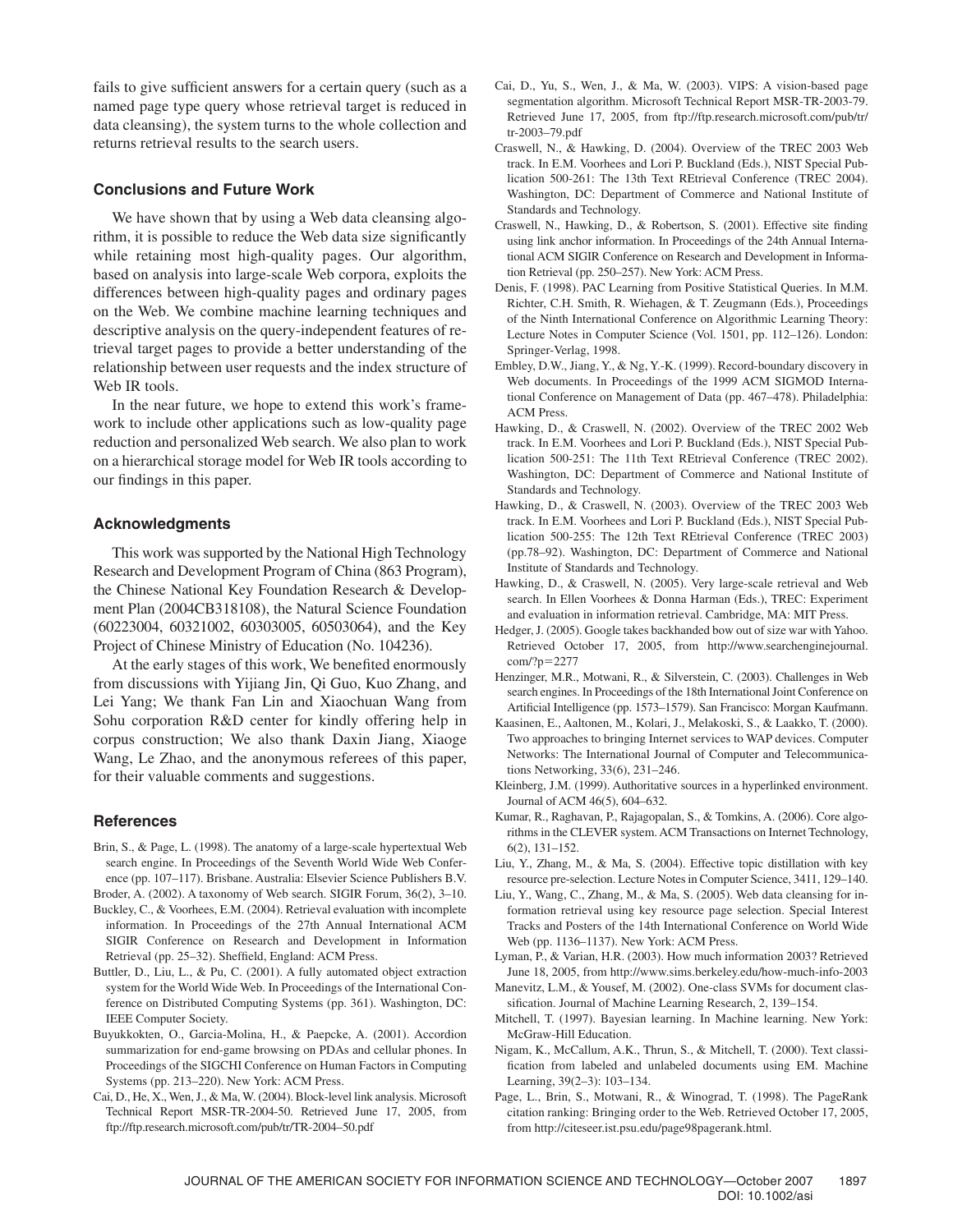fails to give sufficient answers for a certain query (such as a named page type query whose retrieval target is reduced in data cleansing), the system turns to the whole collection and returns retrieval results to the search users.

# **Conclusions and Future Work**

We have shown that by using a Web data cleansing algorithm, it is possible to reduce the Web data size significantly while retaining most high-quality pages. Our algorithm, based on analysis into large-scale Web corpora, exploits the differences between high-quality pages and ordinary pages on the Web. We combine machine learning techniques and descriptive analysis on the query-independent features of retrieval target pages to provide a better understanding of the relationship between user requests and the index structure of Web IR tools.

In the near future, we hope to extend this work's framework to include other applications such as low-quality page reduction and personalized Web search. We also plan to work on a hierarchical storage model for Web IR tools according to our findings in this paper.

#### **Acknowledgments**

This work was supported by the National High Technology Research and Development Program of China (863 Program), the Chinese National Key Foundation Research & Development Plan (2004CB318108), the Natural Science Foundation (60223004, 60321002, 60303005, 60503064), and the Key Project of Chinese Ministry of Education (No. 104236).

At the early stages of this work, We benefited enormously from discussions with Yijiang Jin, Qi Guo, Kuo Zhang, and Lei Yang; We thank Fan Lin and Xiaochuan Wang from Sohu corporation R&D center for kindly offering help in corpus construction; We also thank Daxin Jiang, Xiaoge Wang, Le Zhao, and the anonymous referees of this paper, for their valuable comments and suggestions.

#### **References**

- Brin, S., & Page, L. (1998). The anatomy of a large-scale hypertextual Web search engine. In Proceedings of the Seventh World Wide Web Conference (pp. 107–117). Brisbane. Australia: Elsevier Science Publishers B.V.
- Broder, A. (2002). A taxonomy of Web search. SIGIR Forum, 36(2), 3–10. Buckley, C., & Voorhees, E.M. (2004). Retrieval evaluation with incomplete information. In Proceedings of the 27th Annual International ACM SIGIR Conference on Research and Development in Information Retrieval (pp. 25–32). Sheffield, England: ACM Press.
- Buttler, D., Liu, L., & Pu, C. (2001). A fully automated object extraction system for the World Wide Web. In Proceedings of the International Conference on Distributed Computing Systems (pp. 361). Washington, DC: IEEE Computer Society.
- Buyukkokten, O., Garcia-Molina, H., & Paepcke, A. (2001). Accordion summarization for end-game browsing on PDAs and cellular phones. In Proceedings of the SIGCHI Conference on Human Factors in Computing Systems (pp. 213–220). New York: ACM Press.
- Cai, D., He, X., Wen, J., & Ma, W. (2004). Block-level link analysis. Microsoft Technical Report MSR-TR-2004-50. Retrieved June 17, 2005, from ftp://ftp.research.microsoft.com/pub/tr/TR-2004–50.pdf
- Cai, D., Yu, S., Wen, J., & Ma, W. (2003). VIPS: A vision-based page segmentation algorithm. Microsoft Technical Report MSR-TR-2003-79. Retrieved June 17, 2005, from ftp://ftp.research.microsoft.com/pub/tr/ tr-2003–79.pdf
- Craswell, N., & Hawking, D. (2004). Overview of the TREC 2003 Web track. In E.M. Voorhees and Lori P. Buckland (Eds.), NIST Special Publication 500-261: The 13th Text REtrieval Conference (TREC 2004). Washington, DC: Department of Commerce and National Institute of Standards and Technology.
- Craswell, N., Hawking, D., & Robertson, S. (2001). Effective site finding using link anchor information. In Proceedings of the 24th Annual International ACM SIGIR Conference on Research and Development in Information Retrieval (pp. 250–257). New York: ACM Press.
- Denis, F. (1998). PAC Learning from Positive Statistical Queries. In M.M. Richter, C.H. Smith, R. Wiehagen, & T. Zeugmann (Eds.), Proceedings of the Ninth International Conference on Algorithmic Learning Theory: Lecture Notes in Computer Science (Vol. 1501, pp. 112–126). London: Springer-Verlag, 1998.
- Embley, D.W., Jiang, Y., & Ng, Y.-K. (1999). Record-boundary discovery in Web documents. In Proceedings of the 1999 ACM SIGMOD International Conference on Management of Data (pp. 467–478). Philadelphia: ACM Press.
- Hawking, D., & Craswell, N. (2002). Overview of the TREC 2002 Web track. In E.M. Voorhees and Lori P. Buckland (Eds.), NIST Special Publication 500-251: The 11th Text REtrieval Conference (TREC 2002). Washington, DC: Department of Commerce and National Institute of Standards and Technology.
- Hawking, D., & Craswell, N. (2003). Overview of the TREC 2003 Web track. In E.M. Voorhees and Lori P. Buckland (Eds.), NIST Special Publication 500-255: The 12th Text REtrieval Conference (TREC 2003) (pp.78–92). Washington, DC: Department of Commerce and National Institute of Standards and Technology.
- Hawking, D., & Craswell, N. (2005). Very large-scale retrieval and Web search. In Ellen Voorhees & Donna Harman (Eds.), TREC: Experiment and evaluation in information retrieval. Cambridge, MA: MIT Press.
- Hedger, J. (2005). Google takes backhanded bow out of size war with Yahoo. Retrieved October 17, 2005, from http://www.searchenginejournal.  $com$ ?p=2277
- Henzinger, M.R., Motwani, R., & Silverstein, C. (2003). Challenges in Web search engines. In Proceedings of the 18th International Joint Conference on Artificial Intelligence (pp. 1573–1579). San Francisco: Morgan Kaufmann.
- Kaasinen, E., Aaltonen, M., Kolari, J., Melakoski, S., & Laakko, T. (2000). Two approaches to bringing Internet services to WAP devices. Computer Networks: The International Journal of Computer and Telecommunications Networking, 33(6), 231–246.
- Kleinberg, J.M. (1999). Authoritative sources in a hyperlinked environment. Journal of ACM 46(5), 604–632.
- Kumar, R., Raghavan, P., Rajagopalan, S., & Tomkins, A. (2006). Core algorithms in the CLEVER system. ACM Transactions on Internet Technology, 6(2), 131–152.
- Liu, Y., Zhang, M., & Ma, S. (2004). Effective topic distillation with key resource pre-selection. Lecture Notes in Computer Science, 3411, 129–140.
- Liu, Y., Wang, C., Zhang, M., & Ma, S. (2005). Web data cleansing for information retrieval using key resource page selection. Special Interest Tracks and Posters of the 14th International Conference on World Wide Web (pp. 1136–1137). New York: ACM Press.
- Lyman, P., & Varian, H.R. (2003). How much information 2003? Retrieved June 18, 2005, from http://www.sims.berkeley.edu/how-much-info-2003
- Manevitz, L.M., & Yousef, M. (2002). One-class SVMs for document classification. Journal of Machine Learning Research, 2, 139–154.
- Mitchell, T. (1997). Bayesian learning. In Machine learning. New York: McGraw-Hill Education.
- Nigam, K., McCallum, A.K., Thrun, S., & Mitchell, T. (2000). Text classification from labeled and unlabeled documents using EM. Machine Learning, 39(2–3): 103–134.
- Page, L., Brin, S., Motwani, R., & Winograd, T. (1998). The PageRank citation ranking: Bringing order to the Web. Retrieved October 17, 2005, from http://citeseer.ist.psu.edu/page98pagerank.html.